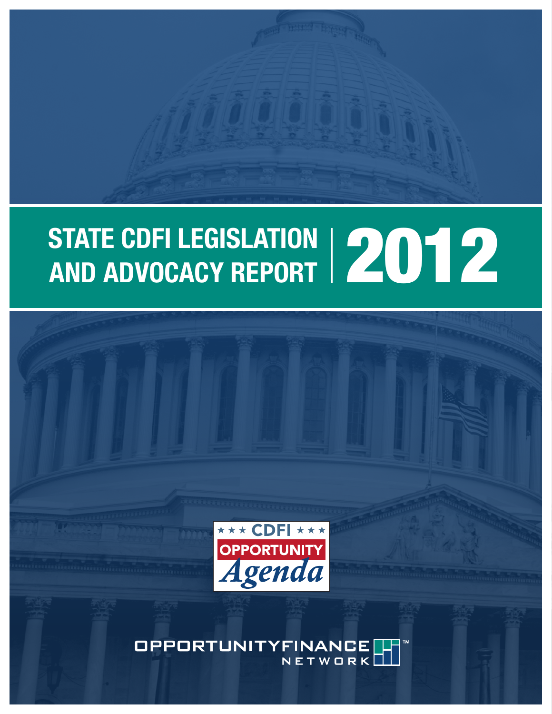# STATE CDFI LEGISLATION | 2012<br>AND ADVOCACY REPORT | 2012



OPPORTUNITYFINANCE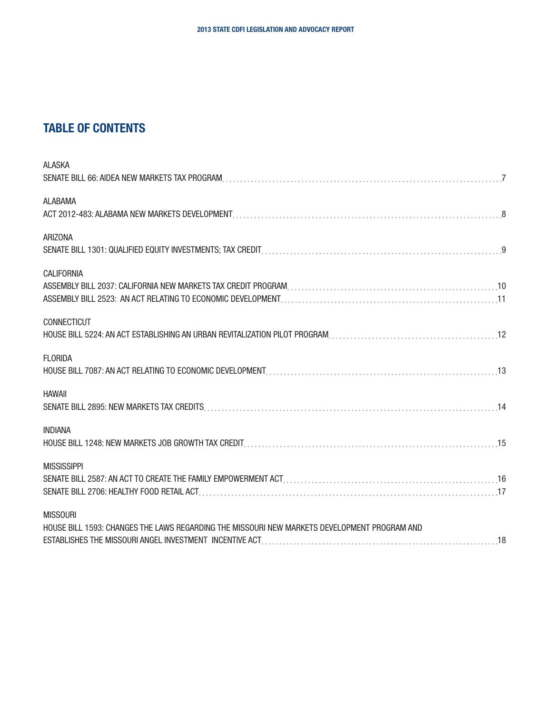## TABLE OF CONTENTS

| <b>ALASKA</b>                                                                                |  |
|----------------------------------------------------------------------------------------------|--|
| SENATE BILL 66: AIDEA NEW MARKETS TAX PROGRAM                                                |  |
| <b>ALABAMA</b>                                                                               |  |
|                                                                                              |  |
| <b>ARIZONA</b>                                                                               |  |
|                                                                                              |  |
| <b>CALIFORNIA</b>                                                                            |  |
|                                                                                              |  |
|                                                                                              |  |
| CONNECTICUT                                                                                  |  |
| HOUSE BILL 5224: AN ACT ESTABLISHING AN URBAN REVITALIZATION PILOT PROGRAM                   |  |
| <b>FLORIDA</b>                                                                               |  |
|                                                                                              |  |
| <b>HAWAII</b>                                                                                |  |
|                                                                                              |  |
| <b>INDIANA</b>                                                                               |  |
|                                                                                              |  |
| <b>MISSISSIPPI</b>                                                                           |  |
|                                                                                              |  |
|                                                                                              |  |
| <b>MISSOURI</b>                                                                              |  |
| HOUSE BILL 1593: CHANGES THE LAWS REGARDING THE MISSOURI NEW MARKETS DEVELOPMENT PROGRAM AND |  |
|                                                                                              |  |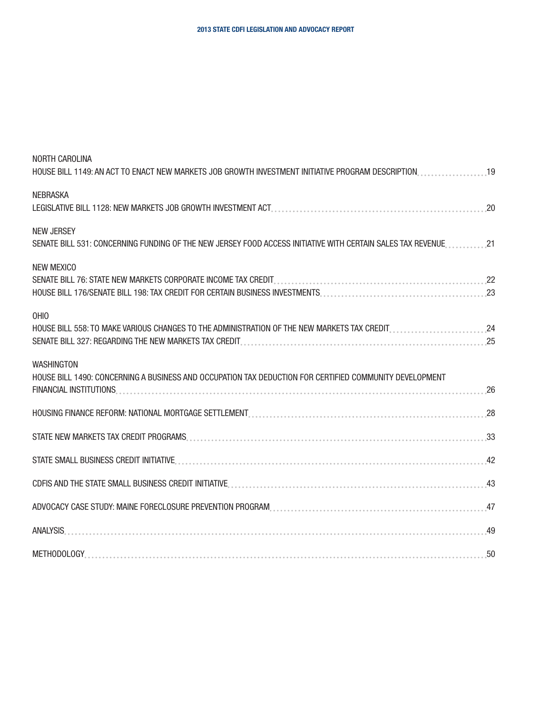[NORTH CAROLINA](#page-18-0)

| <b>NEBRASKA</b>                                                                                                                    | 20 |
|------------------------------------------------------------------------------------------------------------------------------------|----|
| <b>NEW JERSEY</b><br>SENATE BILL 531: CONCERNING FUNDING OF THE NEW JERSEY FOOD ACCESS INITIATIVE WITH CERTAIN SALES TAX REVENUE21 |    |
| <b>NEW MEXICO</b>                                                                                                                  |    |
| OHIO<br>HOUSE BILL 558: TO MAKE VARIOUS CHANGES TO THE ADMINISTRATION OF THE NEW MARKETS TAX CREDIT                                |    |
| <b>WASHINGTON</b><br>HOUSE BILL 1490: CONCERNING A BUSINESS AND OCCUPATION TAX DEDUCTION FOR CERTIFIED COMMUNITY DEVELOPMENT       |    |
|                                                                                                                                    |    |
|                                                                                                                                    |    |
|                                                                                                                                    |    |
|                                                                                                                                    |    |
|                                                                                                                                    |    |
| ANALYSIS.                                                                                                                          |    |
|                                                                                                                                    |    |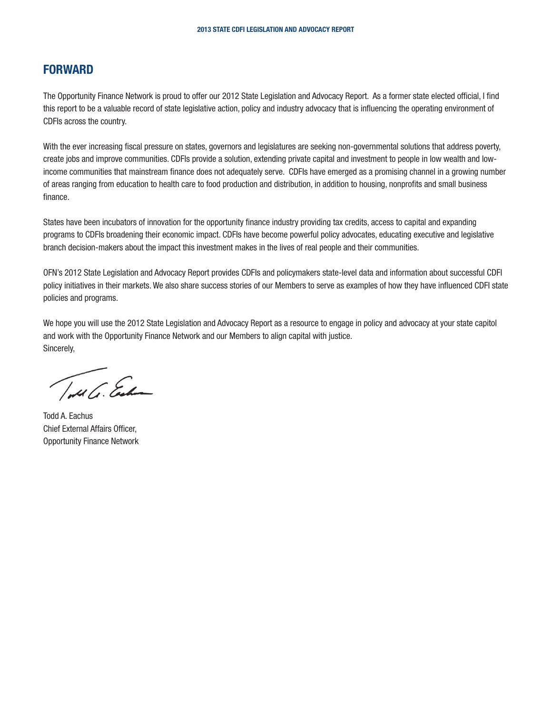#### FORWARD

The Opportunity Finance Network is proud to offer our 2012 State Legislation and Advocacy Report. As a former state elected official, I find this report to be a valuable record of state legislative action, policy and industry advocacy that is influencing the operating environment of CDFIs across the country.

With the ever increasing fiscal pressure on states, governors and legislatures are seeking non-governmental solutions that address poverty, create jobs and improve communities. CDFIs provide a solution, extending private capital and investment to people in low wealth and lowincome communities that mainstream finance does not adequately serve. CDFIs have emerged as a promising channel in a growing number of areas ranging from education to health care to food production and distribution, in addition to housing, nonprofits and small business finance.

States have been incubators of innovation for the opportunity finance industry providing tax credits, access to capital and expanding programs to CDFIs broadening their economic impact. CDFIs have become powerful policy advocates, educating executive and legislative branch decision-makers about the impact this investment makes in the lives of real people and their communities.

OFN's 2012 State Legislation and Advocacy Report provides CDFIs and policymakers state-level data and information about successful CDFI policy initiatives in their markets. We also share success stories of our Members to serve as examples of how they have influenced CDFI state policies and programs.

We hope you will use the 2012 State Legislation and Advocacy Report as a resource to engage in policy and advocacy at your state capitol and work with the Opportunity Finance Network and our Members to align capital with justice. Sincerely,

Totale Ender

Todd A. Eachus Chief External Affairs Officer, Opportunity Finance Network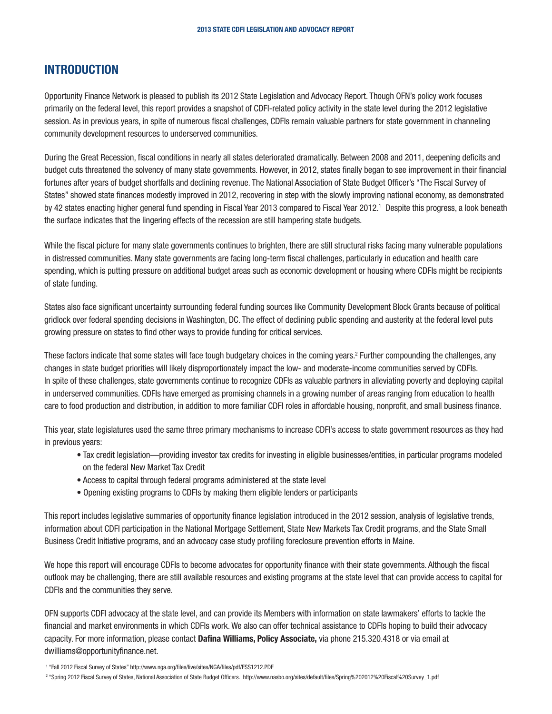## INTRODUCTION

Opportunity Finance Network is pleased to publish its 2012 State Legislation and Advocacy Report. Though OFN's policy work focuses primarily on the federal level, this report provides a snapshot of CDFI-related policy activity in the state level during the 2012 legislative session. As in previous years, in spite of numerous fiscal challenges, CDFIs remain valuable partners for state government in channeling community development resources to underserved communities.

During the Great Recession, fiscal conditions in nearly all states deteriorated dramatically. Between 2008 and 2011, deepening deficits and budget cuts threatened the solvency of many state governments. However, in 2012, states finally began to see improvement in their financial fortunes after years of budget shortfalls and declining revenue. The National Association of State Budget Officer's "The Fiscal Survey of States" showed state finances modestly improved in 2012, recovering in step with the slowly improving national economy, as demonstrated by 42 states enacting higher general fund spending in Fiscal Year 2013 compared to Fiscal Year 2012.1 Despite this progress, a look beneath the surface indicates that the lingering effects of the recession are still hampering state budgets.

While the fiscal picture for many state governments continues to brighten, there are still structural risks facing many vulnerable populations in distressed communities. Many state governments are facing long-term fiscal challenges, particularly in education and health care spending, which is putting pressure on additional budget areas such as economic development or housing where CDFIs might be recipients of state funding.

States also face significant uncertainty surrounding federal funding sources like Community Development Block Grants because of political gridlock over federal spending decisions in Washington, DC. The effect of declining public spending and austerity at the federal level puts growing pressure on states to find other ways to provide funding for critical services.

These factors indicate that some states will face tough budgetary choices in the coming years.<sup>2</sup> Further compounding the challenges, any changes in state budget priorities will likely disproportionately impact the low- and moderate-income communities served by CDFIs. In spite of these challenges, state governments continue to recognize CDFIs as valuable partners in alleviating poverty and deploying capital in underserved communities. CDFIs have emerged as promising channels in a growing number of areas ranging from education to health care to food production and distribution, in addition to more familiar CDFI roles in affordable housing, nonprofit, and small business finance.

This year, state legislatures used the same three primary mechanisms to increase CDFI's access to state government resources as they had in previous years:

- Tax credit legislation—providing investor tax credits for investing in eligible businesses/entities, in particular programs modeled on the federal New Market Tax Credit
- Access to capital through federal programs administered at the state level
- Opening existing programs to CDFIs by making them eligible lenders or participants

This report includes legislative summaries of opportunity finance legislation introduced in the 2012 session, analysis of legislative trends, information about CDFI participation in the National Mortgage Settlement, State New Markets Tax Credit programs, and the State Small Business Credit Initiative programs, and an advocacy case study profiling foreclosure prevention efforts in Maine.

We hope this report will encourage CDFIs to become advocates for opportunity finance with their state governments. Although the fiscal outlook may be challenging, there are still available resources and existing programs at the state level that can provide access to capital for CDFIs and the communities they serve.

OFN supports CDFI advocacy at the state level, and can provide its Members with information on state lawmakers' efforts to tackle the financial and market environments in which CDFIs work. We also can offer technical assistance to CDFIs hoping to build their advocacy capacity. For more information, please contact Dafina Williams, Policy Associate, via phone 215.320.4318 or via email at dwilliams@opportunityfinance.net.

<sup>1</sup> "Fall 2012 Fiscal Survey of States" http://www.nga.org/files/live/sites/NGA/files/pdf/FSS1212.PDF

<sup>2</sup> "Spring 2012 Fiscal Survey of States, National Association of State Budget Officers. http://www.nasbo.org/sites/default/files/Spring%202012%20Fiscal%20Survey\_1.pdf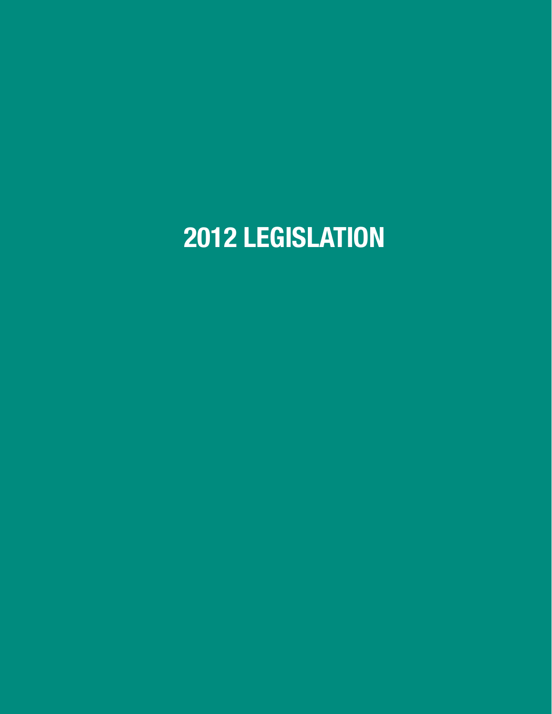# 2012 LEGISLATION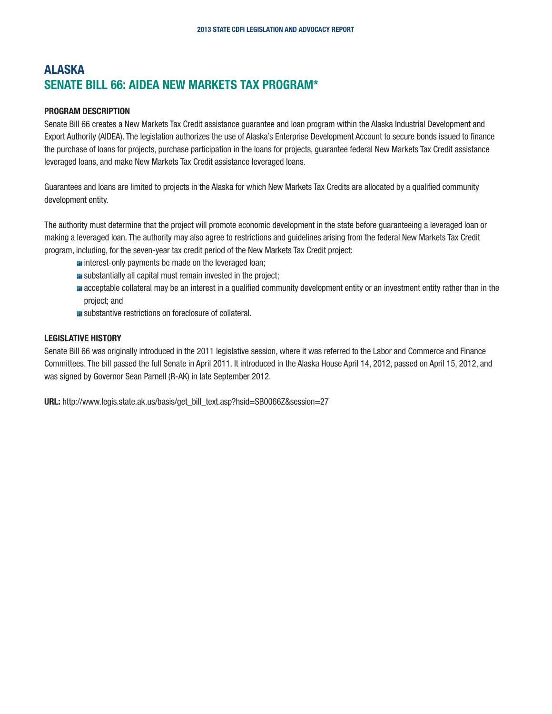## <span id="page-6-0"></span>ALASKA SENATE BILL 66: AIDEA NEW MARKETS TAX PROGRAM\*

#### PROGRAM DESCRIPTION

Senate Bill 66 creates a New Markets Tax Credit assistance guarantee and loan program within the Alaska Industrial Development and Export Authority (AIDEA). The legislation authorizes the use of Alaska's Enterprise Development Account to secure bonds issued to finance the purchase of loans for projects, purchase participation in the loans for projects, guarantee federal New Markets Tax Credit assistance leveraged loans, and make New Markets Tax Credit assistance leveraged loans.

Guarantees and loans are limited to projects in the Alaska for which New Markets Tax Credits are allocated by a qualified community development entity.

The authority must determine that the project will promote economic development in the state before guaranteeing a leveraged loan or making a leveraged loan. The authority may also agree to restrictions and guidelines arising from the federal New Markets Tax Credit program, including, for the seven-year tax credit period of the New Markets Tax Credit project:

- **I** interest-only payments be made on the leveraged loan;
- **E** substantially all capital must remain invested in the project;
- **a** acceptable collateral may be an interest in a qualified community development entity or an investment entity rather than in the project; and
- **E** substantive restrictions on foreclosure of collateral.

#### LEGISLATIVE HISTORY

Senate Bill 66 was originally introduced in the 2011 legislative session, where it was referred to the Labor and Commerce and Finance Committees. The bill passed the full Senate in April 2011. It introduced in the Alaska House April 14, 2012, passed on April 15, 2012, and was signed by Governor Sean Parnell (R-AK) in late September 2012.

URL: http://www.legis.state.ak.us/basis/get\_bill\_text.asp?hsid=SB0066Z&session=27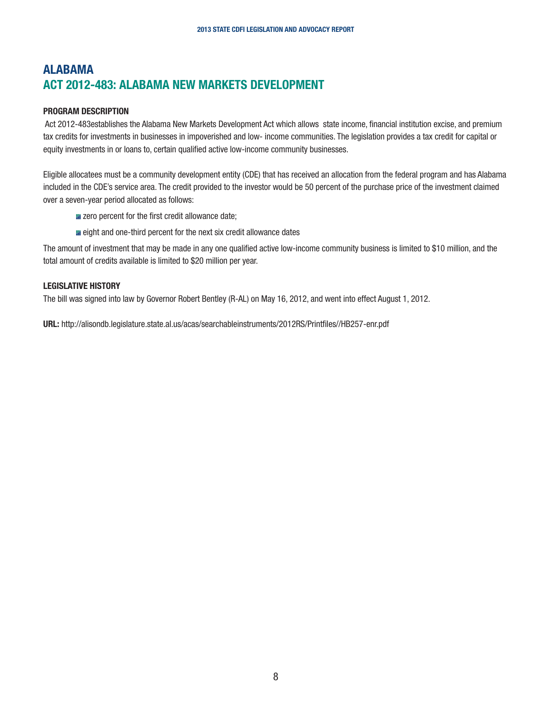## <span id="page-7-0"></span>ALABAMA ACT 2012-483: ALABAMA NEW MARKETS DEVELOPMENT

#### PROGRAM DESCRIPTION

 Act 2012-483establishes the Alabama New Markets Development Act which allows state income, financial institution excise, and premium tax credits for investments in businesses in impoverished and low- income communities. The legislation provides a tax credit for capital or equity investments in or loans to, certain qualified active low-income community businesses.

Eligible allocatees must be a community development entity (CDE) that has received an allocation from the federal program and has Alabama included in the CDE's service area. The credit provided to the investor would be 50 percent of the purchase price of the investment claimed over a seven-year period allocated as follows:

- **E** zero percent for the first credit allowance date;
- **E** eight and one-third percent for the next six credit allowance dates

The amount of investment that may be made in any one qualified active low-income community business is limited to \$10 million, and the total amount of credits available is limited to \$20 million per year.

#### LEGISLATIVE HISTORY

The bill was signed into law by Governor Robert Bentley (R-AL) on May 16, 2012, and went into effect August 1, 2012.

URL: http://alisondb.legislature.state.al.us/acas/searchableinstruments/2012RS/Printfiles//HB257-enr.pdf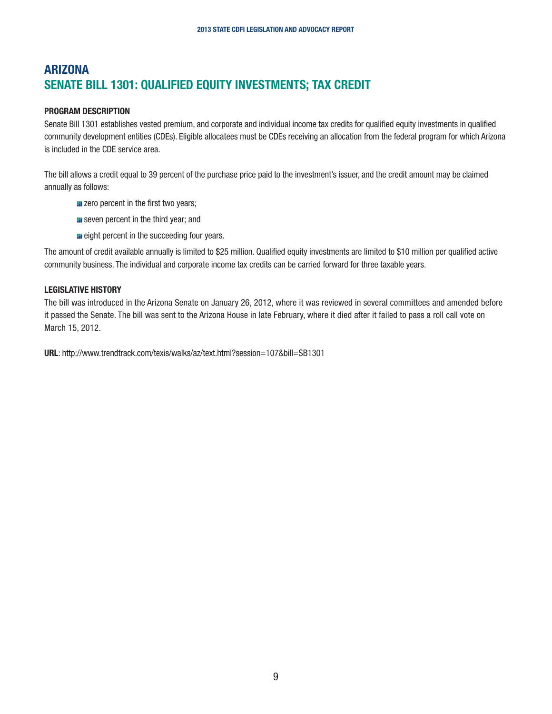## <span id="page-8-0"></span>**ARIZONA** SENATE BILL 1301: QUALIFIED EQUITY INVESTMENTS; TAX CREDIT

#### PROGRAM DESCRIPTION

Senate Bill 1301 establishes vested premium, and corporate and individual income tax credits for qualified equity investments in qualified community development entities (CDEs). Eligible allocatees must be CDEs receiving an allocation from the federal program for which Arizona is included in the CDE service area.

The bill allows a credit equal to 39 percent of the purchase price paid to the investment's issuer, and the credit amount may be claimed annually as follows:

- $\blacksquare$  zero percent in the first two years;
- **E** seven percent in the third year; and
- **E** eight percent in the succeeding four years.

The amount of credit available annually is limited to \$25 million. Qualified equity investments are limited to \$10 million per qualified active community business. The individual and corporate income tax credits can be carried forward for three taxable years.

#### LEGISLATIVE HISTORY

The bill was introduced in the Arizona Senate on January 26, 2012, where it was reviewed in several committees and amended before it passed the Senate. The bill was sent to the Arizona House in late February, where it died after it failed to pass a roll call vote on March 15, 2012.

URL: http://www.trendtrack.com/texis/walks/az/text.html?session=107&bill=SB1301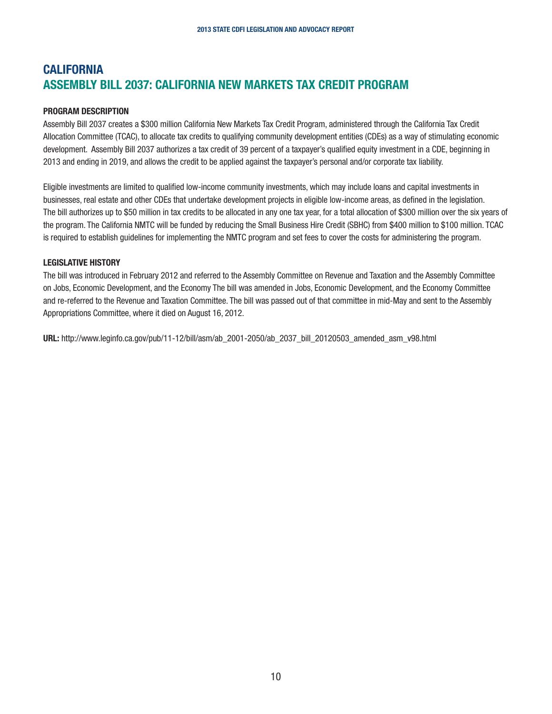## <span id="page-9-0"></span>**CALIFORNIA** ASSEMBLY BILL 2037: CALIFORNIA NEW MARKETS TAX CREDIT PROGRAM

#### PROGRAM DESCRIPTION

Assembly Bill 2037 creates a \$300 million California New Markets Tax Credit Program, administered through the California Tax Credit Allocation Committee (TCAC), to allocate tax credits to qualifying community development entities (CDEs) as a way of stimulating economic development. Assembly Bill 2037 authorizes a tax credit of 39 percent of a taxpayer's qualified equity investment in a CDE, beginning in 2013 and ending in 2019, and allows the credit to be applied against the taxpayer's personal and/or corporate tax liability.

Eligible investments are limited to qualified low-income community investments, which may include loans and capital investments in businesses, real estate and other CDEs that undertake development projects in eligible low-income areas, as defined in the legislation. The bill authorizes up to \$50 million in tax credits to be allocated in any one tax year, for a total allocation of \$300 million over the six years of the program. The California NMTC will be funded by reducing the Small Business Hire Credit (SBHC) from \$400 million to \$100 million. TCAC is required to establish guidelines for implementing the NMTC program and set fees to cover the costs for administering the program.

#### LEGISLATIVE HISTORY

The bill was introduced in February 2012 and referred to the Assembly Committee on Revenue and Taxation and the Assembly Committee on Jobs, Economic Development, and the Economy The bill was amended in Jobs, Economic Development, and the Economy Committee and re-referred to the Revenue and Taxation Committee. The bill was passed out of that committee in mid-May and sent to the Assembly Appropriations Committee, where it died on August 16, 2012.

URL: http://www.leginfo.ca.gov/pub/11-12/bill/asm/ab\_2001-2050/ab\_2037\_bill\_20120503\_amended\_asm\_v98.html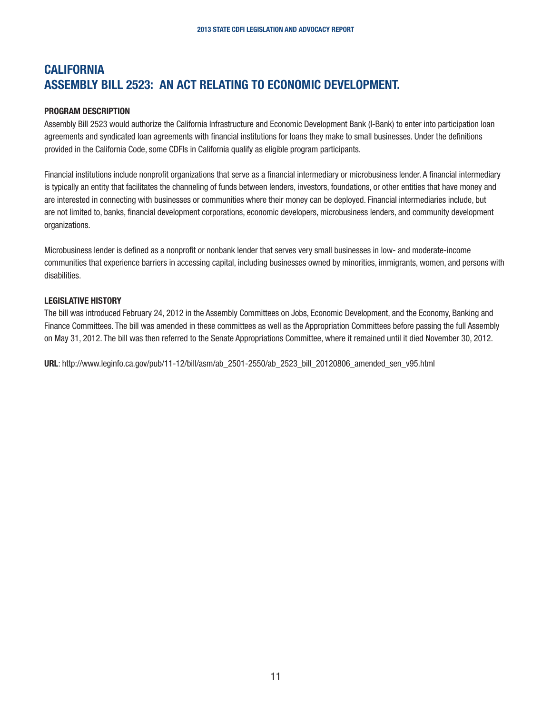## <span id="page-10-0"></span>**CALIFORNIA** ASSEMBLY BILL 2523: AN ACT RELATING TO ECONOMIC DEVELOPMENT.

#### PROGRAM DESCRIPTION

Assembly Bill 2523 would authorize the California Infrastructure and Economic Development Bank (I-Bank) to enter into participation loan agreements and syndicated loan agreements with financial institutions for loans they make to small businesses. Under the definitions provided in the California Code, some CDFIs in California qualify as eligible program participants.

Financial institutions include nonprofit organizations that serve as a financial intermediary or microbusiness lender. A financial intermediary is typically an entity that facilitates the channeling of funds between lenders, investors, foundations, or other entities that have money and are interested in connecting with businesses or communities where their money can be deployed. Financial intermediaries include, but are not limited to, banks, financial development corporations, economic developers, microbusiness lenders, and community development organizations.

Microbusiness lender is defined as a nonprofit or nonbank lender that serves very small businesses in low- and moderate-income communities that experience barriers in accessing capital, including businesses owned by minorities, immigrants, women, and persons with disabilities.

#### LEGISLATIVE HISTORY

The bill was introduced February 24, 2012 in the Assembly Committees on Jobs, Economic Development, and the Economy, Banking and Finance Committees. The bill was amended in these committees as well as the Appropriation Committees before passing the full Assembly on May 31, 2012. The bill was then referred to the Senate Appropriations Committee, where it remained until it died November 30, 2012.

URL: http://www.leginfo.ca.gov/pub/11-12/bill/asm/ab\_2501-2550/ab\_2523\_bill\_20120806\_amended\_sen\_v95.html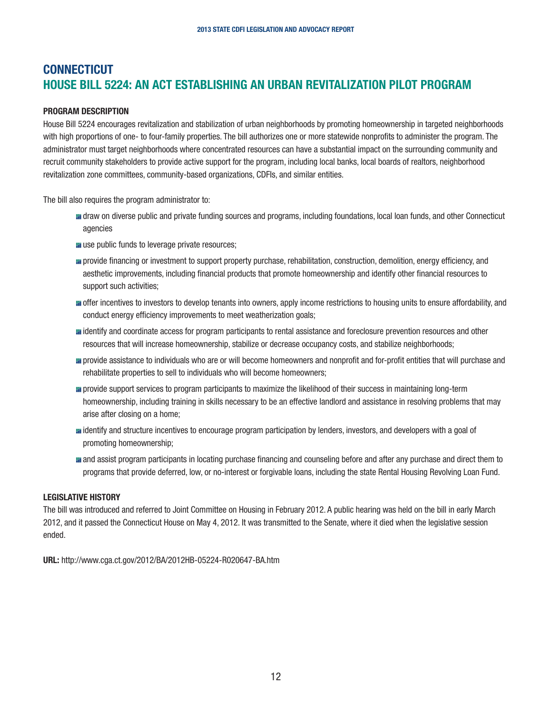## <span id="page-11-0"></span>**CONNECTICUT** HOUSE BILL 5224: AN ACT ESTABLISHING AN URBAN REVITALIZATION PILOT PROGRAM

#### PROGRAM DESCRIPTION

House Bill 5224 encourages revitalization and stabilization of urban neighborhoods by promoting homeownership in targeted neighborhoods with high proportions of one- to four-family properties. The bill authorizes one or more statewide nonprofits to administer the program. The administrator must target neighborhoods where concentrated resources can have a substantial impact on the surrounding community and recruit community stakeholders to provide active support for the program, including local banks, local boards of realtors, neighborhood revitalization zone committees, community-based organizations, CDFIs, and similar entities.

The bill also requires the program administrator to:

- draw on diverse public and private funding sources and programs, including foundations, local loan funds, and other Connecticut agencies
- **u** use public funds to leverage private resources;
- **n** provide financing or investment to support property purchase, rehabilitation, construction, demolition, energy efficiency, and aesthetic improvements, including financial products that promote homeownership and identify other financial resources to support such activities;
- **n** offer incentives to investors to develop tenants into owners, apply income restrictions to housing units to ensure affordability, and conduct energy efficiency improvements to meet weatherization goals;
- identify and coordinate access for program participants to rental assistance and foreclosure prevention resources and other resources that will increase homeownership, stabilize or decrease occupancy costs, and stabilize neighborhoods;
- **n** provide assistance to individuals who are or will become homeowners and nonprofit and for-profit entities that will purchase and rehabilitate properties to sell to individuals who will become homeowners;
- **n** provide support services to program participants to maximize the likelihood of their success in maintaining long-term homeownership, including training in skills necessary to be an effective landlord and assistance in resolving problems that may arise after closing on a home;
- identify and structure incentives to encourage program participation by lenders, investors, and developers with a goal of promoting homeownership;
- **and assist program participants in locating purchase financing and counseling before and after any purchase and direct them to** programs that provide deferred, low, or no-interest or forgivable loans, including the state Rental Housing Revolving Loan Fund.

#### LEGISLATIVE HISTORY

The bill was introduced and referred to Joint Committee on Housing in February 2012. A public hearing was held on the bill in early March 2012, and it passed the Connecticut House on May 4, 2012. It was transmitted to the Senate, where it died when the legislative session ended.

URL: http://www.cga.ct.gov/2012/BA/2012HB-05224-R020647-BA.htm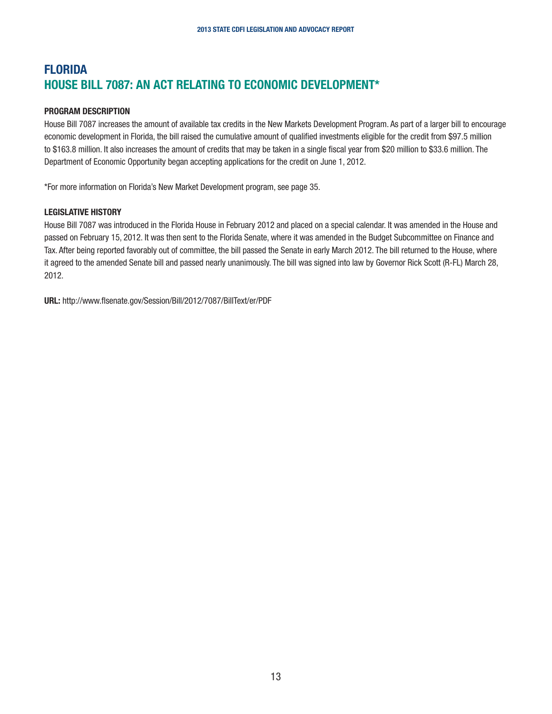## <span id="page-12-0"></span>FLORIDA HOUSE BILL 7087: AN ACT RELATING TO ECONOMIC DEVELOPMENT\*

#### PROGRAM DESCRIPTION

House Bill 7087 increases the amount of available tax credits in the New Markets Development Program. As part of a larger bill to encourage economic development in Florida, the bill raised the cumulative amount of qualified investments eligible for the credit from \$97.5 million to \$163.8 million. It also increases the amount of credits that may be taken in a single fiscal year from \$20 million to \$33.6 million. The Department of Economic Opportunity began accepting applications for the credit on June 1, 2012.

\*For more information on Florida's New Market Development program, see page 35.

#### LEGISLATIVE HISTORY

House Bill 7087 was introduced in the Florida House in February 2012 and placed on a special calendar. It was amended in the House and passed on February 15, 2012. It was then sent to the Florida Senate, where it was amended in the Budget Subcommittee on Finance and Tax. After being reported favorably out of committee, the bill passed the Senate in early March 2012. The bill returned to the House, where it agreed to the amended Senate bill and passed nearly unanimously. The bill was signed into law by Governor Rick Scott (R-FL) March 28, 2012.

URL: http://www.flsenate.gov/Session/Bill/2012/7087/BillText/er/PDF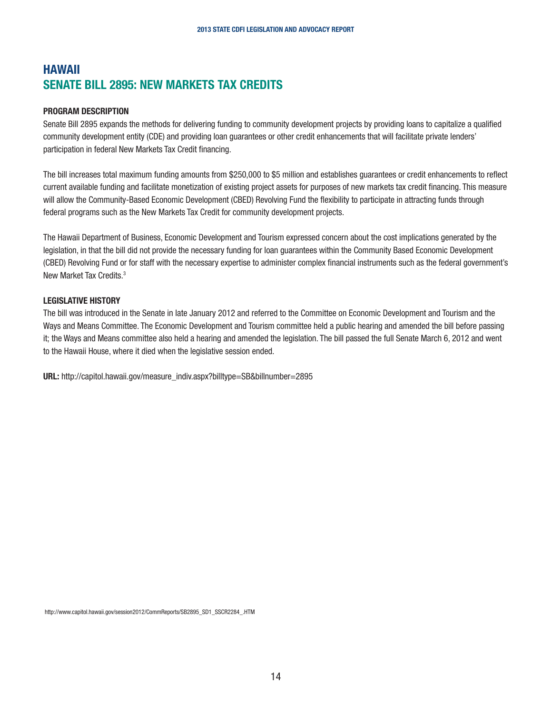## <span id="page-13-0"></span>HAWAII SENATE BILL 2895: NEW MARKETS TAX CREDITS

#### PROGRAM DESCRIPTION

Senate Bill 2895 expands the methods for delivering funding to community development projects by providing loans to capitalize a qualified community development entity (CDE) and providing loan guarantees or other credit enhancements that will facilitate private lenders' participation in federal New Markets Tax Credit financing.

The bill increases total maximum funding amounts from \$250,000 to \$5 million and establishes guarantees or credit enhancements to reflect current available funding and facilitate monetization of existing project assets for purposes of new markets tax credit financing. This measure will allow the Community-Based Economic Development (CBED) Revolving Fund the flexibility to participate in attracting funds through federal programs such as the New Markets Tax Credit for community development projects.

The Hawaii Department of Business, Economic Development and Tourism expressed concern about the cost implications generated by the legislation, in that the bill did not provide the necessary funding for loan guarantees within the Community Based Economic Development (CBED) Revolving Fund or for staff with the necessary expertise to administer complex financial instruments such as the federal government's New Market Tax Credits.3

#### LEGISLATIVE HISTORY

The bill was introduced in the Senate in late January 2012 and referred to the Committee on Economic Development and Tourism and the Ways and Means Committee. The Economic Development and Tourism committee held a public hearing and amended the bill before passing it; the Ways and Means committee also held a hearing and amended the legislation. The bill passed the full Senate March 6, 2012 and went to the Hawaii House, where it died when the legislative session ended.

URL: http://capitol.hawaii.gov/measure\_indiv.aspx?billtype=SB&billnumber=2895

http://www.capitol.hawaii.gov/session2012/CommReports/SB2895\_SD1\_SSCR2284\_.HTM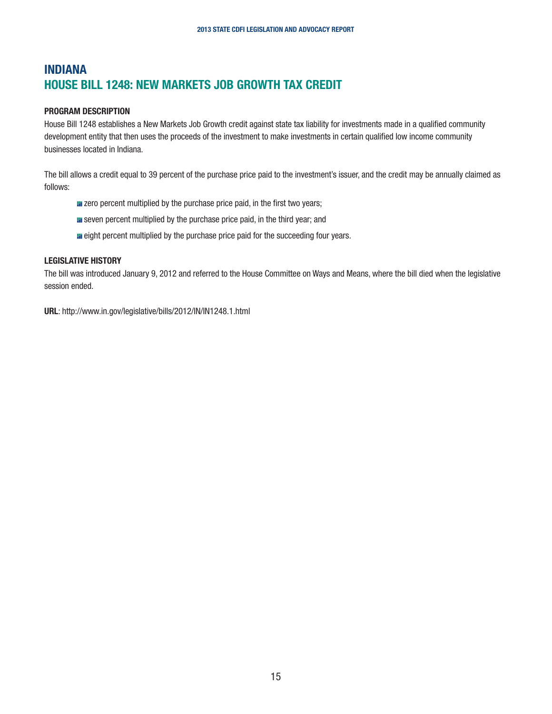## <span id="page-14-0"></span>INDIANA HOUSE BILL 1248: NEW MARKETS JOB GROWTH TAX CREDIT

#### PROGRAM DESCRIPTION

House Bill 1248 establishes a New Markets Job Growth credit against state tax liability for investments made in a qualified community development entity that then uses the proceeds of the investment to make investments in certain qualified low income community businesses located in Indiana.

The bill allows a credit equal to 39 percent of the purchase price paid to the investment's issuer, and the credit may be annually claimed as follows:

- **E** zero percent multiplied by the purchase price paid, in the first two years;
- **E** seven percent multiplied by the purchase price paid, in the third year; and
- **E** eight percent multiplied by the purchase price paid for the succeeding four years.

#### LEGISLATIVE HISTORY

The bill was introduced January 9, 2012 and referred to the House Committee on Ways and Means, where the bill died when the legislative session ended.

URL: http://www.in.gov/legislative/bills/2012/IN/IN1248.1.html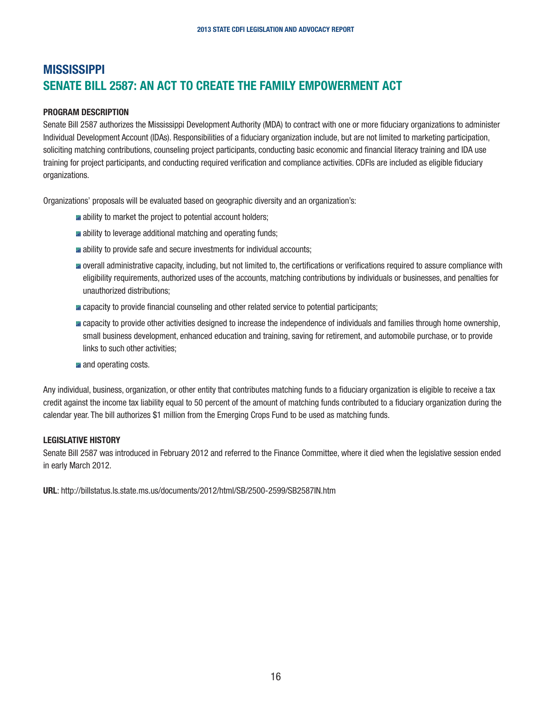## <span id="page-15-0"></span>**MISSISSIPPI** SENATE BILL 2587: AN ACT TO CREATE THE FAMILY EMPOWERMENT ACT

#### PROGRAM DESCRIPTION

Senate Bill 2587 authorizes the Mississippi Development Authority (MDA) to contract with one or more fiduciary organizations to administer Individual Development Account (IDAs). Responsibilities of a fiduciary organization include, but are not limited to marketing participation, soliciting matching contributions, counseling project participants, conducting basic economic and financial literacy training and IDA use training for project participants, and conducting required verification and compliance activities. CDFIs are included as eligible fiduciary organizations.

Organizations' proposals will be evaluated based on geographic diversity and an organization's:

- **a** ability to market the project to potential account holders;
- **a** ability to leverage additional matching and operating funds;
- **a** ability to provide safe and secure investments for individual accounts;
- **n** overall administrative capacity, including, but not limited to, the certifications or verifications required to assure compliance with eligibility requirements, authorized uses of the accounts, matching contributions by individuals or businesses, and penalties for unauthorized distributions;
- **E** capacity to provide financial counseling and other related service to potential participants;
- **n** capacity to provide other activities designed to increase the independence of individuals and families through home ownership, small business development, enhanced education and training, saving for retirement, and automobile purchase, or to provide links to such other activities;
- **and operating costs.**

Any individual, business, organization, or other entity that contributes matching funds to a fiduciary organization is eligible to receive a tax credit against the income tax liability equal to 50 percent of the amount of matching funds contributed to a fiduciary organization during the calendar year. The bill authorizes \$1 million from the Emerging Crops Fund to be used as matching funds.

#### LEGISLATIVE HISTORY

Senate Bill 2587 was introduced in February 2012 and referred to the Finance Committee, where it died when the legislative session ended in early March 2012.

URL: http://billstatus.ls.state.ms.us/documents/2012/html/SB/2500-2599/SB2587IN.htm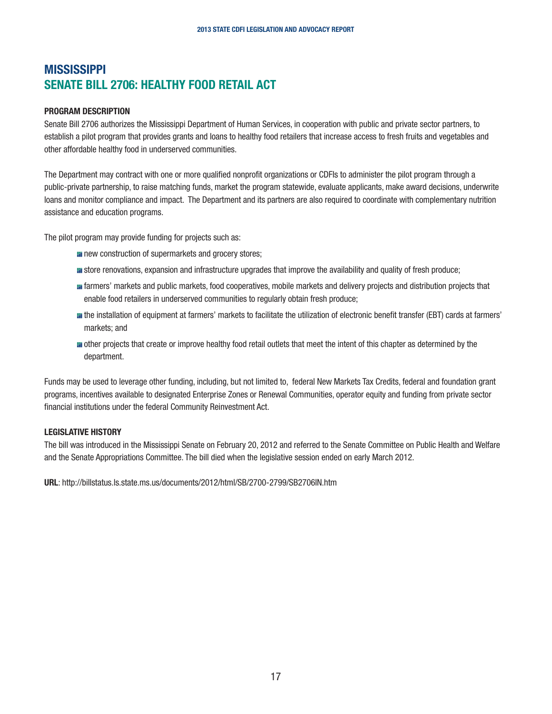## <span id="page-16-0"></span>**MISSISSIPPI** SENATE BILL 2706: HEALTHY FOOD RETAIL ACT

#### PROGRAM DESCRIPTION

Senate Bill 2706 authorizes the Mississippi Department of Human Services, in cooperation with public and private sector partners, to establish a pilot program that provides grants and loans to healthy food retailers that increase access to fresh fruits and vegetables and other affordable healthy food in underserved communities.

The Department may contract with one or more qualified nonprofit organizations or CDFIs to administer the pilot program through a public-private partnership, to raise matching funds, market the program statewide, evaluate applicants, make award decisions, underwrite loans and monitor compliance and impact. The Department and its partners are also required to coordinate with complementary nutrition assistance and education programs.

The pilot program may provide funding for projects such as:

- **n** new construction of supermarkets and grocery stores;
- **s** store renovations, expansion and infrastructure upgrades that improve the availability and quality of fresh produce;
- farmers' markets and public markets, food cooperatives, mobile markets and delivery projects and distribution projects that enable food retailers in underserved communities to regularly obtain fresh produce;
- the installation of equipment at farmers' markets to facilitate the utilization of electronic benefit transfer (EBT) cards at farmers' markets; and
- **n** other projects that create or improve healthy food retail outlets that meet the intent of this chapter as determined by the department.

Funds may be used to leverage other funding, including, but not limited to, federal New Markets Tax Credits, federal and foundation grant programs, incentives available to designated Enterprise Zones or Renewal Communities, operator equity and funding from private sector financial institutions under the federal Community Reinvestment Act.

#### LEGISLATIVE HISTORY

The bill was introduced in the Mississippi Senate on February 20, 2012 and referred to the Senate Committee on Public Health and Welfare and the Senate Appropriations Committee. The bill died when the legislative session ended on early March 2012.

URL: http://billstatus.ls.state.ms.us/documents/2012/html/SB/2700-2799/SB2706IN.htm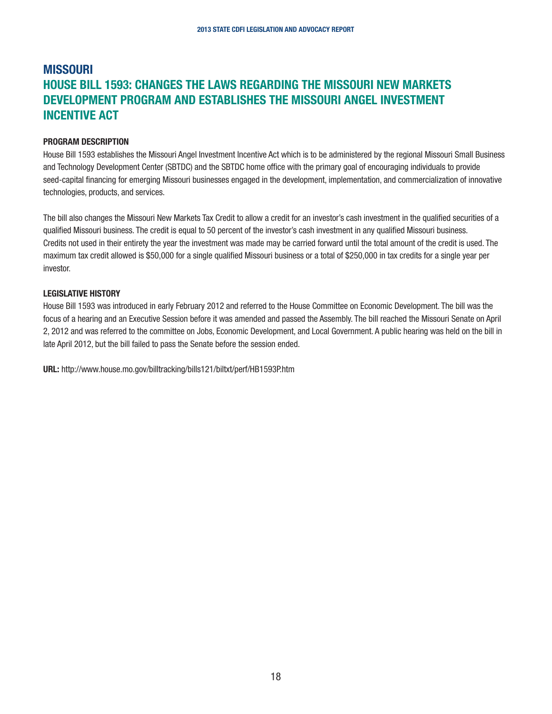## <span id="page-17-0"></span>**MISSOURI** HOUSE BILL 1593: CHANGES THE LAWS REGARDING THE MISSOURI NEW MARKETS DEVELOPMENT PROGRAM AND ESTABLISHES THE MISSOURI ANGEL INVESTMENT INCENTIVE ACT

#### PROGRAM DESCRIPTION

House Bill 1593 establishes the Missouri Angel Investment Incentive Act which is to be administered by the regional Missouri Small Business and Technology Development Center (SBTDC) and the SBTDC home office with the primary goal of encouraging individuals to provide seed-capital financing for emerging Missouri businesses engaged in the development, implementation, and commercialization of innovative technologies, products, and services.

The bill also changes the Missouri New Markets Tax Credit to allow a credit for an investor's cash investment in the qualified securities of a qualified Missouri business. The credit is equal to 50 percent of the investor's cash investment in any qualified Missouri business. Credits not used in their entirety the year the investment was made may be carried forward until the total amount of the credit is used. The maximum tax credit allowed is \$50,000 for a single qualified Missouri business or a total of \$250,000 in tax credits for a single year per investor.

#### LEGISLATIVE HISTORY

House Bill 1593 was introduced in early February 2012 and referred to the House Committee on Economic Development. The bill was the focus of a hearing and an Executive Session before it was amended and passed the Assembly. The bill reached the Missouri Senate on April 2, 2012 and was referred to the committee on Jobs, Economic Development, and Local Government. A public hearing was held on the bill in late April 2012, but the bill failed to pass the Senate before the session ended.

URL: http://www.house.mo.gov/billtracking/bills121/biltxt/perf/HB1593P.htm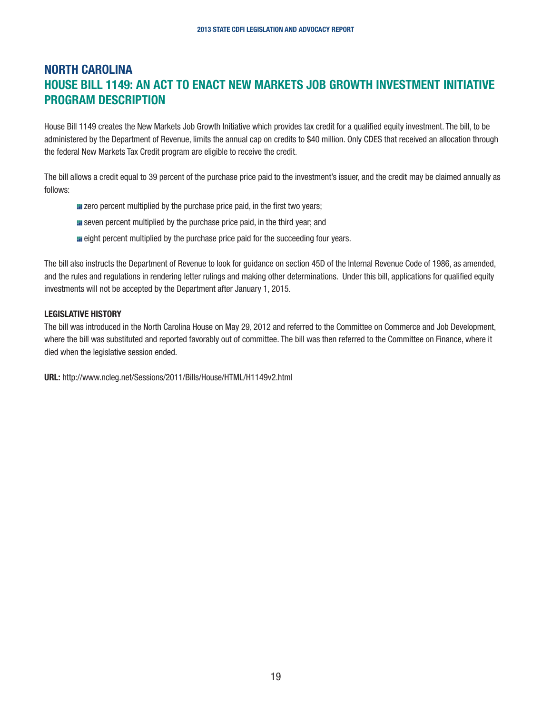## <span id="page-18-0"></span>NORTH CAROLINA HOUSE BILL 1149: AN ACT TO ENACT NEW MARKETS JOB GROWTH INVESTMENT INITIATIVE PROGRAM DESCRIPTION

House Bill 1149 creates the New Markets Job Growth Initiative which provides tax credit for a qualified equity investment. The bill, to be administered by the Department of Revenue, limits the annual cap on credits to \$40 million. Only CDES that received an allocation through the federal New Markets Tax Credit program are eligible to receive the credit.

The bill allows a credit equal to 39 percent of the purchase price paid to the investment's issuer, and the credit may be claimed annually as follows:

- **E** zero percent multiplied by the purchase price paid, in the first two years;
- **I** seven percent multiplied by the purchase price paid, in the third year; and
- **E** eight percent multiplied by the purchase price paid for the succeeding four years.

The bill also instructs the Department of Revenue to look for guidance on section 45D of the Internal Revenue Code of 1986, as amended, and the rules and regulations in rendering letter rulings and making other determinations. Under this bill, applications for qualified equity investments will not be accepted by the Department after January 1, 2015.

#### LEGISLATIVE HISTORY

The bill was introduced in the North Carolina House on May 29, 2012 and referred to the Committee on Commerce and Job Development, where the bill was substituted and reported favorably out of committee. The bill was then referred to the Committee on Finance, where it died when the legislative session ended.

URL: http://www.ncleg.net/Sessions/2011/Bills/House/HTML/H1149v2.html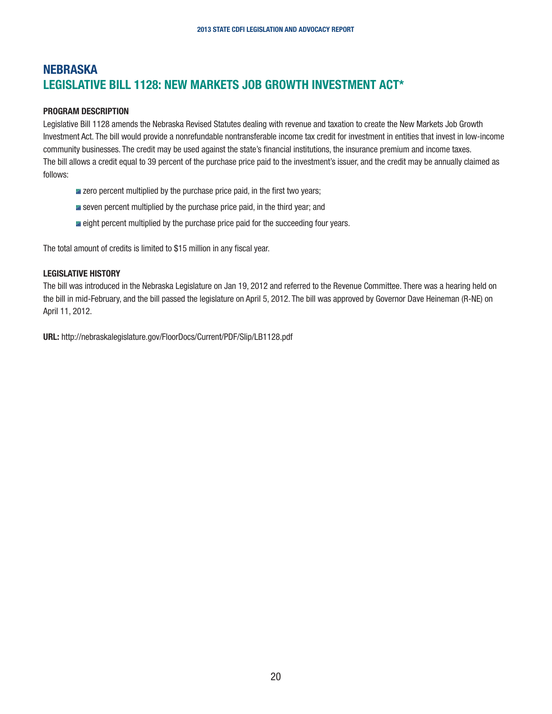## <span id="page-19-0"></span>**NEBRASKA** LEGISLATIVE BILL 1128: NEW MARKETS JOB GROWTH INVESTMENT ACT\*

#### PROGRAM DESCRIPTION

Legislative Bill 1128 amends the Nebraska Revised Statutes dealing with revenue and taxation to create the New Markets Job Growth Investment Act. The bill would provide a nonrefundable nontransferable income tax credit for investment in entities that invest in low-income community businesses. The credit may be used against the state's financial institutions, the insurance premium and income taxes. The bill allows a credit equal to 39 percent of the purchase price paid to the investment's issuer, and the credit may be annually claimed as follows:

- **E** zero percent multiplied by the purchase price paid, in the first two years;
- **I** seven percent multiplied by the purchase price paid, in the third year; and
- **I** eight percent multiplied by the purchase price paid for the succeeding four years.

The total amount of credits is limited to \$15 million in any fiscal year.

#### LEGISLATIVE HISTORY

The bill was introduced in the Nebraska Legislature on Jan 19, 2012 and referred to the Revenue Committee. There was a hearing held on the bill in mid-February, and the bill passed the legislature on April 5, 2012. The bill was approved by Governor Dave Heineman (R-NE) on April 11, 2012.

URL: http://nebraskalegislature.gov/FloorDocs/Current/PDF/Slip/LB1128.pdf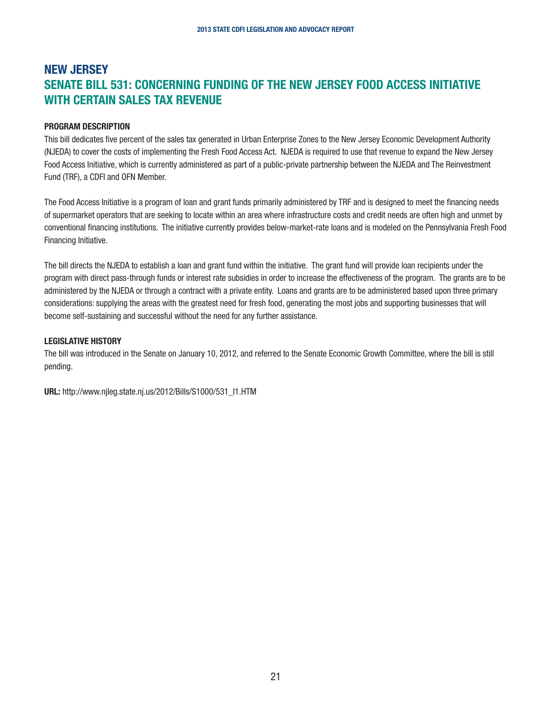## <span id="page-20-0"></span>NEW JERSEY SENATE BILL 531: CONCERNING FUNDING OF THE NEW JERSEY FOOD ACCESS INITIATIVE WITH CERTAIN SALES TAX REVENUE

#### PROGRAM DESCRIPTION

This bill dedicates five percent of the sales tax generated in Urban Enterprise Zones to the New Jersey Economic Development Authority (NJEDA) to cover the costs of implementing the Fresh Food Access Act. NJEDA is required to use that revenue to expand the New Jersey Food Access Initiative, which is currently administered as part of a public-private partnership between the NJEDA and The Reinvestment Fund (TRF), a CDFI and OFN Member.

The Food Access Initiative is a program of loan and grant funds primarily administered by TRF and is designed to meet the financing needs of supermarket operators that are seeking to locate within an area where infrastructure costs and credit needs are often high and unmet by conventional financing institutions. The initiative currently provides below-market-rate loans and is modeled on the Pennsylvania Fresh Food Financing Initiative.

The bill directs the NJEDA to establish a loan and grant fund within the initiative. The grant fund will provide loan recipients under the program with direct pass-through funds or interest rate subsidies in order to increase the effectiveness of the program. The grants are to be administered by the NJEDA or through a contract with a private entity. Loans and grants are to be administered based upon three primary considerations: supplying the areas with the greatest need for fresh food, generating the most jobs and supporting businesses that will become self-sustaining and successful without the need for any further assistance.

#### LEGISLATIVE HISTORY

The bill was introduced in the Senate on January 10, 2012, and referred to the Senate Economic Growth Committee, where the bill is still pending.

URL: http://www.njleg.state.nj.us/2012/Bills/S1000/531\_I1.HTM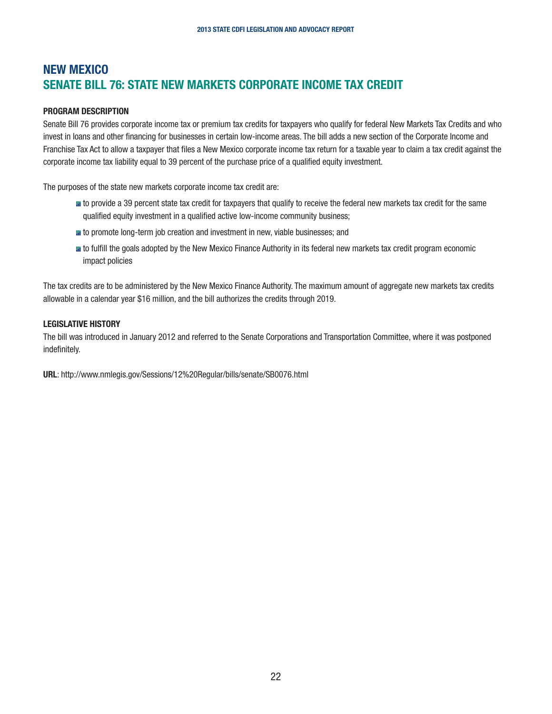## <span id="page-21-0"></span>NEW MEXICO SENATE BILL 76: STATE NEW MARKETS CORPORATE INCOME TAX CREDIT

#### PROGRAM DESCRIPTION

Senate Bill 76 provides corporate income tax or premium tax credits for taxpayers who qualify for federal New Markets Tax Credits and who invest in loans and other financing for businesses in certain low-income areas. The bill adds a new section of the Corporate Income and Franchise Tax Act to allow a taxpayer that files a New Mexico corporate income tax return for a taxable year to claim a tax credit against the corporate income tax liability equal to 39 percent of the purchase price of a qualified equity investment.

The purposes of the state new markets corporate income tax credit are:

- **III** to provide a 39 percent state tax credit for taxpayers that qualify to receive the federal new markets tax credit for the same qualified equity investment in a qualified active low-income community business;
- **to** promote long-term job creation and investment in new, viable businesses; and
- **III** to fulfill the goals adopted by the New Mexico Finance Authority in its federal new markets tax credit program economic impact policies

The tax credits are to be administered by the New Mexico Finance Authority. The maximum amount of aggregate new markets tax credits allowable in a calendar year \$16 million, and the bill authorizes the credits through 2019.

#### LEGISLATIVE HISTORY

The bill was introduced in January 2012 and referred to the Senate Corporations and Transportation Committee, where it was postponed indefinitely.

URL: http://www.nmlegis.gov/Sessions/12%20Regular/bills/senate/SB0076.html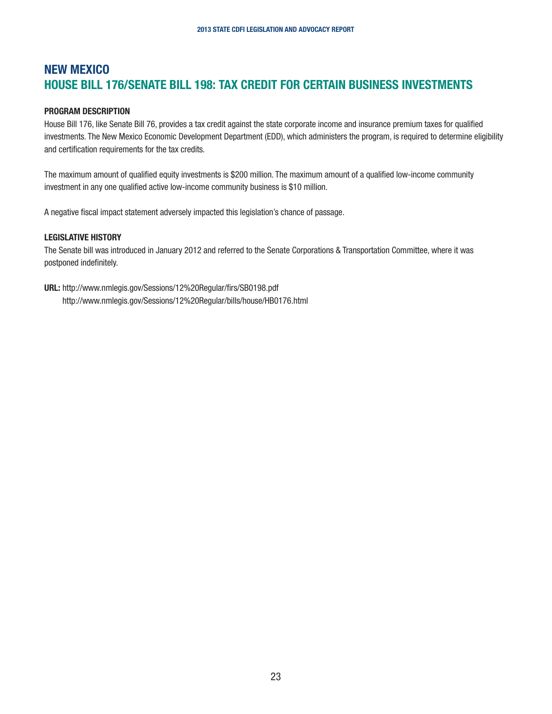## <span id="page-22-0"></span>NEW MEXICO HOUSE BILL 176/SENATE BILL 198: TAX CREDIT FOR CERTAIN BUSINESS INVESTMENTS

#### PROGRAM DESCRIPTION

House Bill 176, like Senate Bill 76, provides a tax credit against the state corporate income and insurance premium taxes for qualified investments. The New Mexico Economic Development Department (EDD), which administers the program, is required to determine eligibility and certification requirements for the tax credits.

The maximum amount of qualified equity investments is \$200 million. The maximum amount of a qualified low-income community investment in any one qualified active low-income community business is \$10 million.

A negative fiscal impact statement adversely impacted this legislation's chance of passage.

#### LEGISLATIVE HISTORY

The Senate bill was introduced in January 2012 and referred to the Senate Corporations & Transportation Committee, where it was postponed indefinitely.

URL: http://www.nmlegis.gov/Sessions/12%20Regular/firs/SB0198.pdf http://www.nmlegis.gov/Sessions/12%20Regular/bills/house/HB0176.html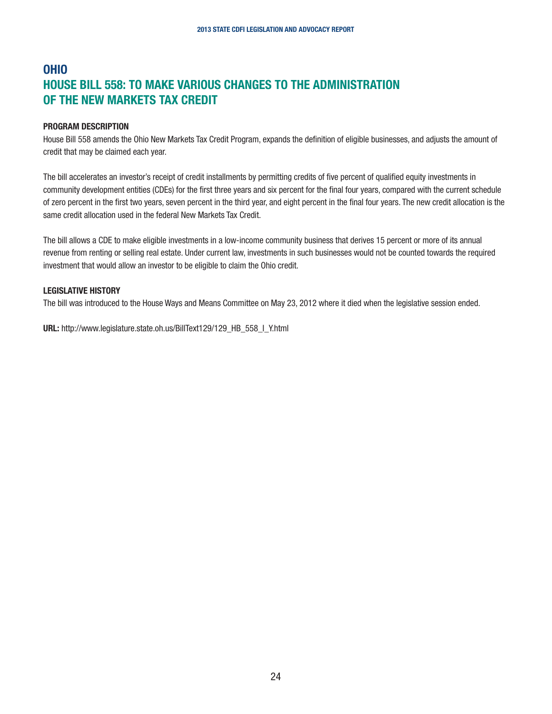## <span id="page-23-0"></span>OHIO HOUSE BILL 558: TO MAKE VARIOUS CHANGES TO THE ADMINISTRATION OF THE NEW MARKETS TAX CREDIT

#### PROGRAM DESCRIPTION

House Bill 558 amends the Ohio New Markets Tax Credit Program, expands the definition of eligible businesses, and adjusts the amount of credit that may be claimed each year.

The bill accelerates an investor's receipt of credit installments by permitting credits of five percent of qualified equity investments in community development entities (CDEs) for the first three years and six percent for the final four years, compared with the current schedule of zero percent in the first two years, seven percent in the third year, and eight percent in the final four years. The new credit allocation is the same credit allocation used in the federal New Markets Tax Credit.

The bill allows a CDE to make eligible investments in a low-income community business that derives 15 percent or more of its annual revenue from renting or selling real estate. Under current law, investments in such businesses would not be counted towards the required investment that would allow an investor to be eligible to claim the Ohio credit.

#### LEGISLATIVE HISTORY

The bill was introduced to the House Ways and Means Committee on May 23, 2012 where it died when the legislative session ended.

URL: http://www.legislature.state.oh.us/BillText129/129\_HB\_558\_I\_Y.html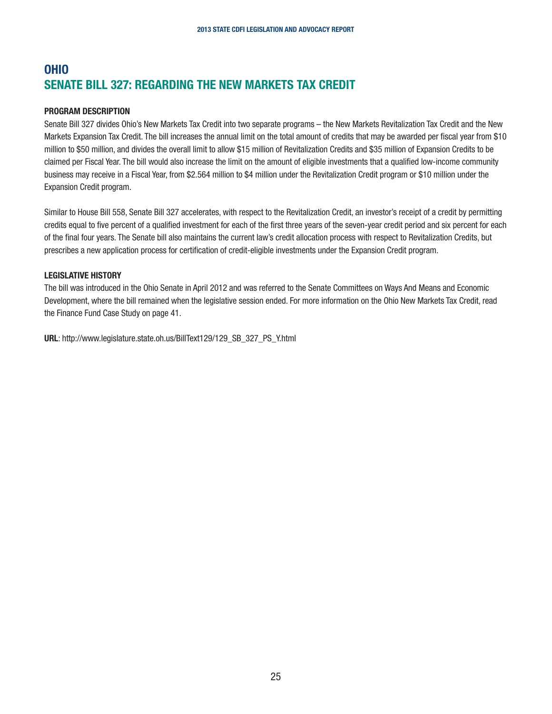## <span id="page-24-0"></span>OHIO SENATE BILL 327: REGARDING THE NEW MARKETS TAX CREDIT

#### PROGRAM DESCRIPTION

Senate Bill 327 divides Ohio's New Markets Tax Credit into two separate programs – the New Markets Revitalization Tax Credit and the New Markets Expansion Tax Credit. The bill increases the annual limit on the total amount of credits that may be awarded per fiscal year from \$10 million to \$50 million, and divides the overall limit to allow \$15 million of Revitalization Credits and \$35 million of Expansion Credits to be claimed per Fiscal Year. The bill would also increase the limit on the amount of eligible investments that a qualified low-income community business may receive in a Fiscal Year, from \$2.564 million to \$4 million under the Revitalization Credit program or \$10 million under the Expansion Credit program.

Similar to House Bill 558, Senate Bill 327 accelerates, with respect to the Revitalization Credit, an investor's receipt of a credit by permitting credits equal to five percent of a qualified investment for each of the first three years of the seven-year credit period and six percent for each of the final four years. The Senate bill also maintains the current law's credit allocation process with respect to Revitalization Credits, but prescribes a new application process for certification of credit-eligible investments under the Expansion Credit program.

#### LEGISLATIVE HISTORY

The bill was introduced in the Ohio Senate in April 2012 and was referred to the Senate Committees on Ways And Means and Economic Development, where the bill remained when the legislative session ended. For more information on the Ohio New Markets Tax Credit, read the Finance Fund Case Study on page 41.

URL: http://www.legislature.state.oh.us/BillText129/129\_SB\_327\_PS\_Y.html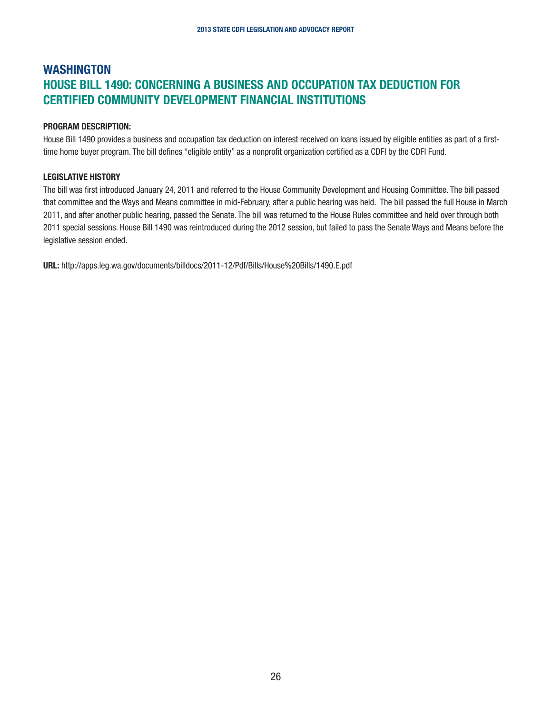## <span id="page-25-0"></span>WASHINGTON HOUSE BILL 1490: CONCERNING A BUSINESS AND OCCUPATION TAX DEDUCTION FOR CERTIFIED COMMUNITY DEVELOPMENT FINANCIAL INSTITUTIONS

#### PROGRAM DESCRIPTION:

House Bill 1490 provides a business and occupation tax deduction on interest received on loans issued by eligible entities as part of a firsttime home buyer program. The bill defines "eligible entity" as a nonprofit organization certified as a CDFI by the CDFI Fund.

#### LEGISLATIVE HISTORY

The bill was first introduced January 24, 2011 and referred to the House Community Development and Housing Committee. The bill passed that committee and the Ways and Means committee in mid-February, after a public hearing was held. The bill passed the full House in March 2011, and after another public hearing, passed the Senate. The bill was returned to the House Rules committee and held over through both 2011 special sessions. House Bill 1490 was reintroduced during the 2012 session, but failed to pass the Senate Ways and Means before the legislative session ended.

URL: http://apps.leg.wa.gov/documents/billdocs/2011-12/Pdf/Bills/House%20Bills/1490.E.pdf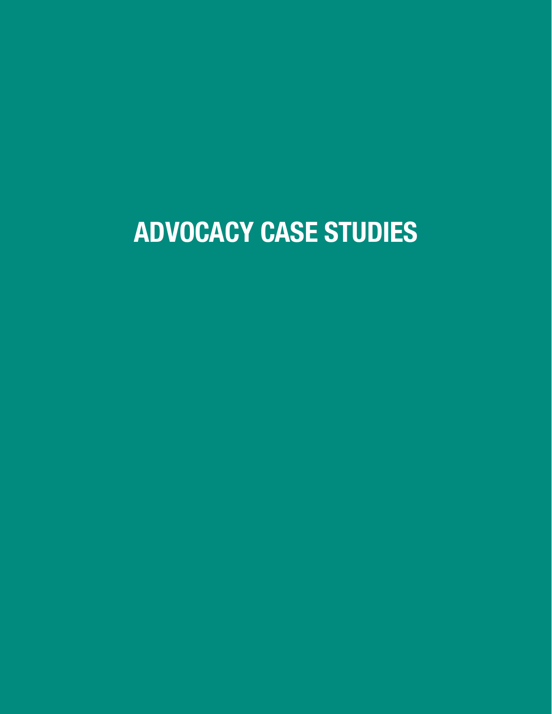## ADVOCACY CASE STUDIES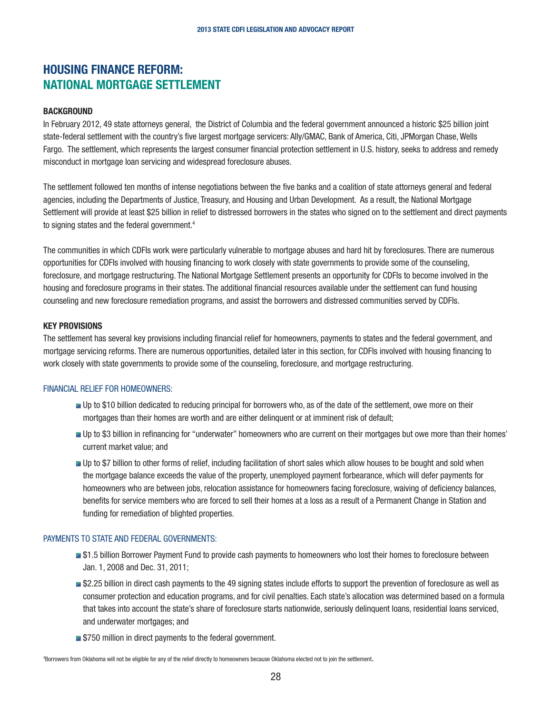## <span id="page-27-0"></span>HOUSING FINANCE REFORM: NATIONAL MORTGAGE SETTLEMENT

#### **BACKGROUND**

In February 2012, 49 state attorneys general, the District of Columbia and the federal government announced a historic \$25 billion joint state-federal settlement with the country's five largest mortgage servicers: Ally/GMAC, Bank of America, Citi, JPMorgan Chase, Wells Fargo. The settlement, which represents the largest consumer financial protection settlement in U.S. history, seeks to address and remedy misconduct in mortgage loan servicing and widespread foreclosure abuses.

The settlement followed ten months of intense negotiations between the five banks and a coalition of state attorneys general and federal agencies, including the Departments of Justice, Treasury, and Housing and Urban Development. As a result, the National Mortgage Settlement will provide at least \$25 billion in relief to distressed borrowers in the states who signed on to the settlement and direct payments to signing states and the federal government.<sup>4</sup>

The communities in which CDFIs work were particularly vulnerable to mortgage abuses and hard hit by foreclosures. There are numerous opportunities for CDFIs involved with housing financing to work closely with state governments to provide some of the counseling, foreclosure, and mortgage restructuring. The National Mortgage Settlement presents an opportunity for CDFIs to become involved in the housing and foreclosure programs in their states. The additional financial resources available under the settlement can fund housing counseling and new foreclosure remediation programs, and assist the borrowers and distressed communities served by CDFIs.

#### KEY PROVISIONS

The settlement has several key provisions including financial relief for homeowners, payments to states and the federal government, and mortgage servicing reforms. There are numerous opportunities, detailed later in this section, for CDFIs involved with housing financing to work closely with state governments to provide some of the counseling, foreclosure, and mortgage restructuring.

#### FINANCIAL RELIEF FOR HOMEOWNERS:

- Up to \$10 billion dedicated to reducing principal for borrowers who, as of the date of the settlement, owe more on their mortgages than their homes are worth and are either delinquent or at imminent risk of default;
- Up to \$3 billion in refinancing for "underwater" homeowners who are current on their mortgages but owe more than their homes' current market value; and
- Up to \$7 billion to other forms of relief, including facilitation of short sales which allow houses to be bought and sold when the mortgage balance exceeds the value of the property, unemployed payment forbearance, which will defer payments for homeowners who are between jobs, relocation assistance for homeowners facing foreclosure, waiving of deficiency balances, benefits for service members who are forced to sell their homes at a loss as a result of a Permanent Change in Station and funding for remediation of blighted properties.

#### PAYMENTS TO STATE AND FEDERAL GOVERNMENTS:

- **#61.5 billion Borrower Payment Fund to provide cash payments to homeowners who lost their homes to foreclosure between** Jan. 1, 2008 and Dec. 31, 2011;
- **#52.25 billion in direct cash payments to the 49 signing states include efforts to support the prevention of foreclosure as well as** consumer protection and education programs, and for civil penalties. Each state's allocation was determined based on a formula that takes into account the state's share of foreclosure starts nationwide, seriously delinquent loans, residential loans serviced, and underwater mortgages; and
- **E** \$750 million in direct payments to the federal government.

4 Borrowers from Oklahoma will not be eligible for any of the relief directly to homeowners because Oklahoma elected not to join the settlement.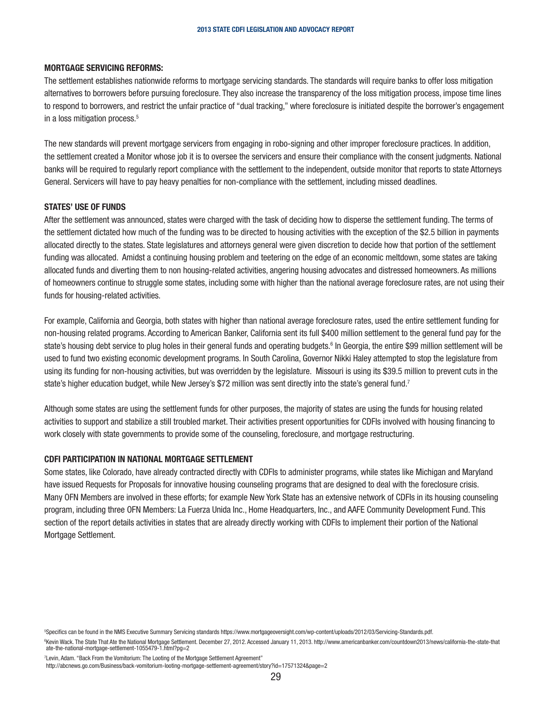#### MORTGAGE SERVICING REFORMS:

The settlement establishes nationwide reforms to mortgage servicing standards. The standards will require banks to offer loss mitigation alternatives to borrowers before pursuing foreclosure. They also increase the transparency of the loss mitigation process, impose time lines to respond to borrowers, and restrict the unfair practice of "dual tracking," where foreclosure is initiated despite the borrower's engagement in a loss mitigation process.<sup>5</sup>

The new standards will prevent mortgage servicers from engaging in robo-signing and other improper foreclosure practices. In addition, the settlement created a Monitor whose job it is to oversee the servicers and ensure their compliance with the consent judgments. National banks will be required to regularly report compliance with the settlement to the independent, outside monitor that reports to state Attorneys General. Servicers will have to pay heavy penalties for non-compliance with the settlement, including missed deadlines.

#### STATES' USE OF FUNDS

After the settlement was announced, states were charged with the task of deciding how to disperse the settlement funding. The terms of the settlement dictated how much of the funding was to be directed to housing activities with the exception of the \$2.5 billion in payments allocated directly to the states. State legislatures and attorneys general were given discretion to decide how that portion of the settlement funding was allocated. Amidst a continuing housing problem and teetering on the edge of an economic meltdown, some states are taking allocated funds and diverting them to non housing-related activities, angering housing advocates and distressed homeowners. As millions of homeowners continue to struggle some states, including some with higher than the national average foreclosure rates, are not using their funds for housing-related activities.

For example, California and Georgia, both states with higher than national average foreclosure rates, used the entire settlement funding for non-housing related programs. According to American Banker, California sent its full \$400 million settlement to the general fund pay for the state's housing debt service to plug holes in their general funds and operating budgets.<sup>6</sup> In Georgia, the entire \$99 million settlement will be used to fund two existing economic development programs. In South Carolina, Governor Nikki Haley attempted to stop the legislature from using its funding for non-housing activities, but was overridden by the legislature. Missouri is using its \$39.5 million to prevent cuts in the state's higher education budget, while New Jersey's \$72 million was sent directly into the state's general fund.<sup>7</sup>

Although some states are using the settlement funds for other purposes, the majority of states are using the funds for housing related activities to support and stabilize a still troubled market. Their activities present opportunities for CDFIs involved with housing financing to work closely with state governments to provide some of the counseling, foreclosure, and mortgage restructuring.

#### CDFI PARTICIPATION IN NATIONAL MORTGAGE SETTLEMENT

Some states, like Colorado, have already contracted directly with CDFIs to administer programs, while states like Michigan and Maryland have issued Requests for Proposals for innovative housing counseling programs that are designed to deal with the foreclosure crisis. Many OFN Members are involved in these efforts; for example New York State has an extensive network of CDFIs in its housing counseling program, including three OFN Members: La Fuerza Unida Inc., Home Headquarters, Inc., and AAFE Community Development Fund. This section of the report details activities in states that are already directly working with CDFIs to implement their portion of the National Mortgage Settlement.

7 Levin, Adam. "Back From the Vomitorium: The Looting of the Mortgage Settlement Agreement"

<sup>5</sup> Specifics can be found in the NMS Executive Summary Servicing standards https://www.mortgageoversight.com/wp-content/uploads/2012/03/Servicing-Standards.pdf.

<sup>6</sup> Kevin Wack. The State That Ate the National Mortgage Settlement. December 27, 2012. Accessed January 11, 2013. http://www.americanbanker.com/countdown2013/news/california-the-state-that ate-the-national-mortgage-settlement-1055479-1.html?pg=2

http://abcnews.go.com/Business/back-vomitorium-looting-mortgage-settlement-agreement/story?id=17571324&page=2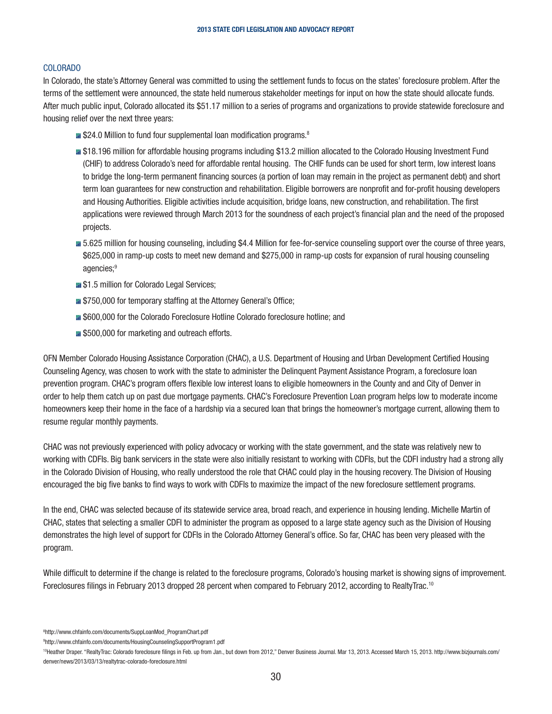#### COLORADO

In Colorado, the state's Attorney General was committed to using the settlement funds to focus on the states' foreclosure problem. After the terms of the settlement were announced, the state held numerous stakeholder meetings for input on how the state should allocate funds. After much public input, Colorado allocated its \$51.17 million to a series of programs and organizations to provide statewide foreclosure and housing relief over the next three years:

- **E** \$24.0 Million to fund four supplemental loan modification programs.<sup>8</sup>
- **#518.196 million for affordable housing programs including \$13.2 million allocated to the Colorado Housing Investment Fund** (CHIF) to address Colorado's need for affordable rental housing. The CHIF funds can be used for short term, low interest loans to bridge the long-term permanent financing sources (a portion of loan may remain in the project as permanent debt) and short term loan guarantees for new construction and rehabilitation. Eligible borrowers are nonprofit and for-profit housing developers and Housing Authorities. Eligible activities include acquisition, bridge loans, new construction, and rehabilitation. The first applications were reviewed through March 2013 for the soundness of each project's financial plan and the need of the proposed projects.
- $\blacksquare$  5.625 million for housing counseling, including \$4.4 Million for fee-for-service counseling support over the course of three years, \$625,000 in ramp-up costs to meet new demand and \$275,000 in ramp-up costs for expansion of rural housing counseling agencies;<sup>9</sup>
- **11** \$1.5 million for Colorado Legal Services;
- **E** \$750,000 for temporary staffing at the Attorney General's Office;
- **## \$600,000 for the Colorado Foreclosure Hotline Colorado foreclosure hotline; and**
- $\blacksquare$  \$500,000 for marketing and outreach efforts.

OFN Member Colorado Housing Assistance Corporation (CHAC), a U.S. Department of Housing and Urban Development Certified Housing Counseling Agency, was chosen to work with the state to administer the Delinquent Payment Assistance Program, a foreclosure loan prevention program. CHAC's program offers flexible low interest loans to eligible homeowners in the County and and City of Denver in order to help them catch up on past due mortgage payments. CHAC's Foreclosure Prevention Loan program helps low to moderate income homeowners keep their home in the face of a hardship via a secured loan that brings the homeowner's mortgage current, allowing them to resume regular monthly payments.

CHAC was not previously experienced with policy advocacy or working with the state government, and the state was relatively new to working with CDFIs. Big bank servicers in the state were also initially resistant to working with CDFIs, but the CDFI industry had a strong ally in the Colorado Division of Housing, who really understood the role that CHAC could play in the housing recovery. The Division of Housing encouraged the big five banks to find ways to work with CDFIs to maximize the impact of the new foreclosure settlement programs.

In the end, CHAC was selected because of its statewide service area, broad reach, and experience in housing lending. Michelle Martin of CHAC, states that selecting a smaller CDFI to administer the program as opposed to a large state agency such as the Division of Housing demonstrates the high level of support for CDFIs in the Colorado Attorney General's office. So far, CHAC has been very pleased with the program.

While difficult to determine if the change is related to the foreclosure programs, Colorado's housing market is showing signs of improvement. Foreclosures filings in February 2013 dropped 28 percent when compared to February 2012, according to RealtyTrac.10

8 http://www.chfainfo.com/documents/SuppLoanMod\_ProgramChart.pdf

9 http://www.chfainfo.com/documents/HousingCounselingSupportProgram1.pdf

<sup>10</sup>Heather Draper. "RealtyTrac: Colorado foreclosure filings in Feb. up from Jan., but down from 2012," Denver Business Journal. Mar 13, 2013. Accessed March 15, 2013. http://www.bizjournals.com/ denver/news/2013/03/13/realtytrac-colorado-foreclosure.html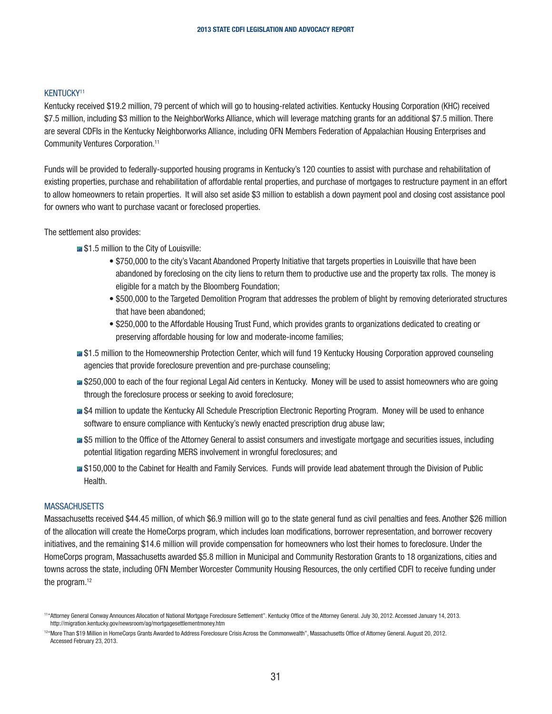#### KENTUCKY11

Kentucky received \$19.2 million, 79 percent of which will go to housing-related activities. Kentucky Housing Corporation (KHC) received \$7.5 million, including \$3 million to the NeighborWorks Alliance, which will leverage matching grants for an additional \$7.5 million. There are several CDFIs in the Kentucky Neighborworks Alliance, including OFN Members Federation of Appalachian Housing Enterprises and Community Ventures Corporation.11

Funds will be provided to federally-supported housing programs in Kentucky's 120 counties to assist with purchase and rehabilitation of existing properties, purchase and rehabilitation of affordable rental properties, and purchase of mortgages to restructure payment in an effort to allow homeowners to retain properties. It will also set aside \$3 million to establish a down payment pool and closing cost assistance pool for owners who want to purchase vacant or foreclosed properties.

The settlement also provides:

- $\blacksquare$  \$1.5 million to the City of Louisville:
	- \$750,000 to the city's Vacant Abandoned Property Initiative that targets properties in Louisville that have been abandoned by foreclosing on the city liens to return them to productive use and the property tax rolls. The money is eligible for a match by the Bloomberg Foundation;
	- \$500,000 to the Targeted Demolition Program that addresses the problem of blight by removing deteriorated structures that have been abandoned;
	- \$250,000 to the Affordable Housing Trust Fund, which provides grants to organizations dedicated to creating or preserving affordable housing for low and moderate-income families;
- **#51.5 million to the Homeownership Protection Center, which will fund 19 Kentucky Housing Corporation approved counseling** agencies that provide foreclosure prevention and pre-purchase counseling;
- **#** \$250,000 to each of the four regional Legal Aid centers in Kentucky. Money will be used to assist homeowners who are going through the foreclosure process or seeking to avoid foreclosure;
- **#4** S4 million to update the Kentucky All Schedule Prescription Electronic Reporting Program. Money will be used to enhance software to ensure compliance with Kentucky's newly enacted prescription drug abuse law;
- $\blacksquare$  **\$5** million to the Office of the Attorney General to assist consumers and investigate mortgage and securities issues, including potential litigation regarding MERS involvement in wrongful foreclosures; and
- $\blacksquare$  \$150,000 to the Cabinet for Health and Family Services. Funds will provide lead abatement through the Division of Public Health.

#### **MASSACHUSETTS**

Massachusetts received \$44.45 million, of which \$6.9 million will go to the state general fund as civil penalties and fees. Another \$26 million of the allocation will create the HomeCorps program, which includes loan modifications, borrower representation, and borrower recovery initiatives, and the remaining \$14.6 million will provide compensation for homeowners who lost their homes to foreclosure. Under the HomeCorps program, Massachusetts awarded \$5.8 million in Municipal and Community Restoration Grants to 18 organizations, cities and towns across the state, including OFN Member Worcester Community Housing Resources, the only certified CDFI to receive funding under the program.<sup>12</sup>

<sup>11&</sup>quot;Attorney General Conway Announces Allocation of National Mortgage Foreclosure Settlement". Kentucky Office of the Attorney General. July 30, 2012. Accessed January 14, 2013. http://migration.kentucky.gov/newsroom/ag/mortgagesettlementmoney.htm

<sup>&</sup>lt;sup>12"</sup>More Than \$19 Million in HomeCorps Grants Awarded to Address Foreclosure Crisis Across the Commonwealth", Massachusetts Office of Attorney General. August 20, 2012. Accessed February 23, 2013.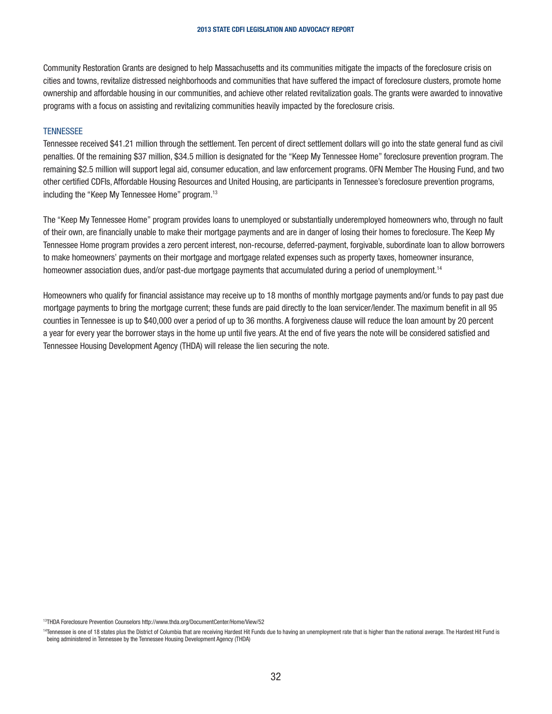Community Restoration Grants are designed to help Massachusetts and its communities mitigate the impacts of the foreclosure crisis on cities and towns, revitalize distressed neighborhoods and communities that have suffered the impact of foreclosure clusters, promote home ownership and affordable housing in our communities, and achieve other related revitalization goals. The grants were awarded to innovative programs with a focus on assisting and revitalizing communities heavily impacted by the foreclosure crisis.

#### **TENNESSEE**

Tennessee received \$41.21 million through the settlement. Ten percent of direct settlement dollars will go into the state general fund as civil penalties. Of the remaining \$37 million, \$34.5 million is designated for the "Keep My Tennessee Home" foreclosure prevention program. The remaining \$2.5 million will support legal aid, consumer education, and law enforcement programs. OFN Member The Housing Fund, and two other certified CDFIs, Affordable Housing Resources and United Housing, are participants in Tennessee's foreclosure prevention programs, including the "Keep My Tennessee Home" program.<sup>13</sup>

The "Keep My Tennessee Home" program provides loans to unemployed or substantially underemployed homeowners who, through no fault of their own, are financially unable to make their mortgage payments and are in danger of losing their homes to foreclosure. The Keep My Tennessee Home program provides a zero percent interest, non-recourse, deferred-payment, forgivable, subordinate loan to allow borrowers to make homeowners' payments on their mortgage and mortgage related expenses such as property taxes, homeowner insurance, homeowner association dues, and/or past-due mortgage payments that accumulated during a period of unemployment.<sup>14</sup>

Homeowners who qualify for financial assistance may receive up to 18 months of monthly mortgage payments and/or funds to pay past due mortgage payments to bring the mortgage current; these funds are paid directly to the loan servicer/lender. The maximum benefit in all 95 counties in Tennessee is up to \$40,000 over a period of up to 36 months. A forgiveness clause will reduce the loan amount by 20 percent a year for every year the borrower stays in the home up until five years. At the end of five years the note will be considered satisfied and Tennessee Housing Development Agency (THDA) will release the lien securing the note.

13THDA Foreclosure Prevention Counselors http://www.thda.org/DocumentCenter/Home/View/52

<sup>14</sup>Tennessee is one of 18 states plus the District of Columbia that are receiving Hardest Hit Funds due to having an unemployment rate that is higher than the national average. The Hardest Hit Fund is being administered in Tennessee by the Tennessee Housing Development Agency (THDA)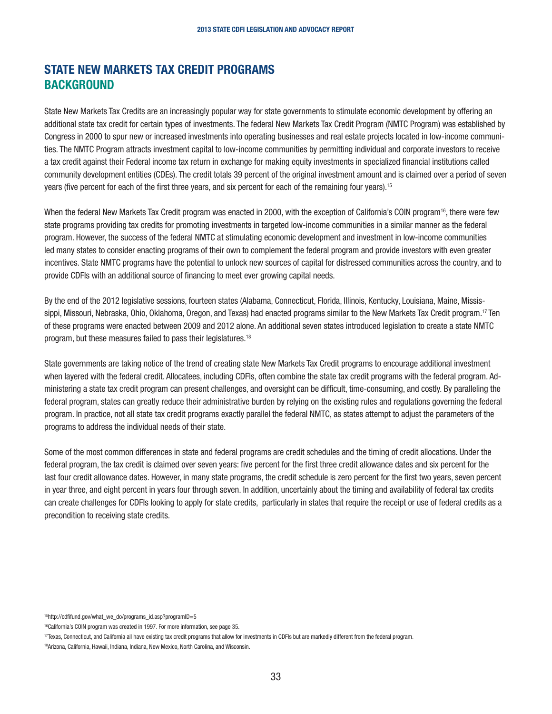## STATE NEW MARKETS TAX CREDIT PROGRAMS **BACKGROUND**

State New Markets Tax Credits are an increasingly popular way for state governments to stimulate economic development by offering an additional state tax credit for certain types of investments. The federal New Markets Tax Credit Program (NMTC Program) was established by Congress in 2000 to spur new or increased investments into operating businesses and real estate projects located in low-income communities. The NMTC Program attracts investment capital to low-income communities by permitting individual and corporate investors to receive a tax credit against their Federal income tax return in exchange for making equity investments in specialized financial institutions called community development entities (CDEs). The credit totals 39 percent of the original investment amount and is claimed over a period of seven years (five percent for each of the first three years, and six percent for each of the remaining four years).15

When the federal New Markets Tax Credit program was enacted in 2000, with the exception of California's COIN program<sup>16</sup>, there were few state programs providing tax credits for promoting investments in targeted low-income communities in a similar manner as the federal program. However, the success of the federal NMTC at stimulating economic development and investment in low-income communities led many states to consider enacting programs of their own to complement the federal program and provide investors with even greater incentives. State NMTC programs have the potential to unlock new sources of capital for distressed communities across the country, and to provide CDFIs with an additional source of financing to meet ever growing capital needs.

By the end of the 2012 legislative sessions, fourteen states (Alabama, Connecticut, Florida, Illinois, Kentucky, Louisiana, Maine, Mississippi, Missouri, Nebraska, Ohio, Oklahoma, Oregon, and Texas) had enacted programs similar to the New Markets Tax Credit program.<sup>17</sup> Ten of these programs were enacted between 2009 and 2012 alone. An additional seven states introduced legislation to create a state NMTC program, but these measures failed to pass their legislatures.18

State governments are taking notice of the trend of creating state New Markets Tax Credit programs to encourage additional investment when layered with the federal credit. Allocatees, including CDFIs, often combine the state tax credit programs with the federal program. Administering a state tax credit program can present challenges, and oversight can be difficult, time-consuming, and costly. By paralleling the federal program, states can greatly reduce their administrative burden by relying on the existing rules and regulations governing the federal program. In practice, not all state tax credit programs exactly parallel the federal NMTC, as states attempt to adjust the parameters of the programs to address the individual needs of their state.

Some of the most common differences in state and federal programs are credit schedules and the timing of credit allocations. Under the federal program, the tax credit is claimed over seven years: five percent for the first three credit allowance dates and six percent for the last four credit allowance dates. However, in many state programs, the credit schedule is zero percent for the first two years, seven percent in year three, and eight percent in years four through seven. In addition, uncertainly about the timing and availability of federal tax credits can create challenges for CDFIs looking to apply for state credits, particularly in states that require the receipt or use of federal credits as a precondition to receiving state credits.

<sup>&</sup>lt;sup>15</sup>http://cdfifund.gov/what\_we\_do/programs\_id.asp?programID=5

<sup>16</sup>California's COIN program was created in 1997. For more information, see page 35.

<sup>17</sup>Texas, Connecticut, and California all have existing tax credit programs that allow for investments in CDFIs but are markedly different from the federal program.

<sup>18</sup>Arizona, California, Hawaii, Indiana, Indiana, New Mexico, North Carolina, and Wisconsin.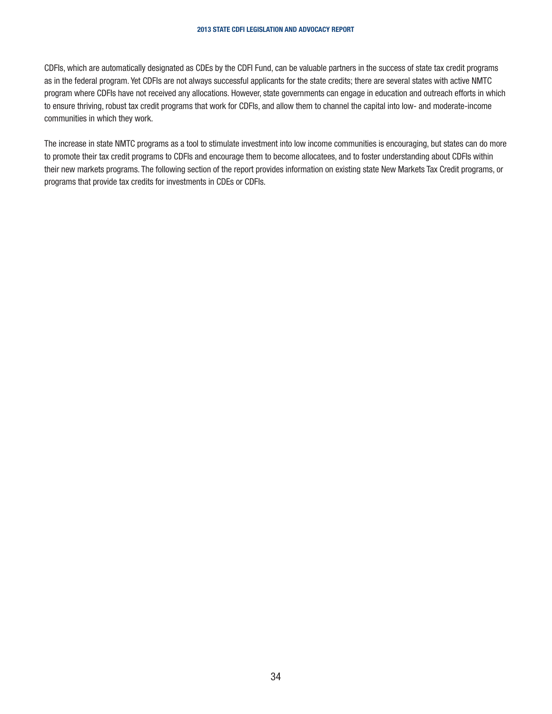<span id="page-33-0"></span>CDFIs, which are automatically designated as CDEs by the CDFI Fund, can be valuable partners in the success of state tax credit programs as in the federal program. Yet CDFIs are not always successful applicants for the state credits; there are several states with active NMTC program where CDFIs have not received any allocations. However, state governments can engage in education and outreach efforts in which to ensure thriving, robust tax credit programs that work for CDFIs, and allow them to channel the capital into low- and moderate-income communities in which they work.

The increase in state NMTC programs as a tool to stimulate investment into low income communities is encouraging, but states can do more to promote their tax credit programs to CDFIs and encourage them to become allocatees, and to foster understanding about CDFIs within their new markets programs. The following section of the report provides information on existing state New Markets Tax Credit programs, or programs that provide tax credits for investments in CDEs or CDFIs.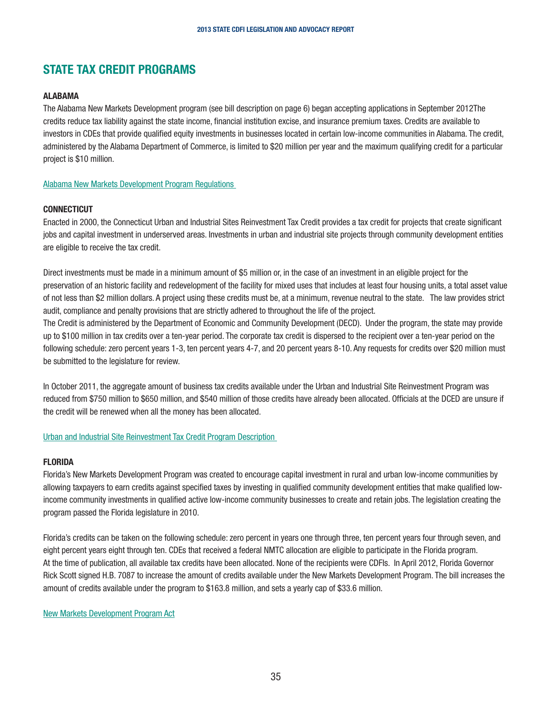## STATE TAX CREDIT PROGRAMS

#### ALABAMA

The Alabama New Markets Development program (see bill description on page 6) began accepting applications in September 2012The credits reduce tax liability against the state income, financial institution excise, and insurance premium taxes. Credits are available to investors in CDEs that provide qualified equity investments in businesses located in certain low-income communities in Alabama. The credit, administered by the Alabama Department of Commerce, is limited to \$20 million per year and the maximum qualifying credit for a particular project is \$10 million.

[Alabama New Markets Development Program Regulations](http://commerce.alabama.gov/content/ouraccolades/newmarketsrules.pdf) 

#### **CONNECTICUT**

Enacted in 2000, the Connecticut Urban and Industrial Sites Reinvestment Tax Credit provides a tax credit for projects that create significant jobs and capital investment in underserved areas. Investments in urban and industrial site projects through community development entities are eligible to receive the tax credit.

Direct investments must be made in a minimum amount of \$5 million or, in the case of an investment in an eligible project for the preservation of an historic facility and redevelopment of the facility for mixed uses that includes at least four housing units, a total asset value of not less than \$2 million dollars. A project using these credits must be, at a minimum, revenue neutral to the state. The law provides strict audit, compliance and penalty provisions that are strictly adhered to throughout the life of the project.

The Credit is administered by the Department of Economic and Community Development (DECD). Under the program, the state may provide up to \$100 million in tax credits over a ten-year period. The corporate tax credit is dispersed to the recipient over a ten-year period on the following schedule: zero percent years 1-3, ten percent years 4-7, and 20 percent years 8-10. Any requests for credits over \$20 million must be submitted to the legislature for review.

In October 2011, the aggregate amount of business tax credits available under the Urban and Industrial Site Reinvestment Program was reduced from \$750 million to \$650 million, and \$540 million of those credits have already been allocated. Officials at the DCED are unsure if the credit will be renewed when all the money has been allocated.

#### Urban and Industrial Site Reinvestment Tax Credit Program Description

#### FLORIDA

Florida's New Markets Development Program was created to encourage capital investment in rural and urban low-income communities by allowing taxpayers to earn credits against specified taxes by investing in qualified community development entities that make qualified lowincome community investments in qualified active low-income community businesses to create and retain jobs. The legislation creating the program passed the Florida legislature in 2010.

Florida's credits can be taken on the following schedule: zero percent in years one through three, ten percent years four through seven, and eight percent years eight through ten. CDEs that received a federal NMTC allocation are eligible to participate in the Florida program. At the time of publication, all available tax credits have been allocated. None of the recipients were CDFIs. In April 2012, Florida Governor Rick Scott signed H.B. 7087 to increase the amount of credits available under the New Markets Development Program. The bill increases the amount of credits available under the program to \$163.8 million, and sets a yearly cap of \$33.6 million.

#### New Markets Development Program Act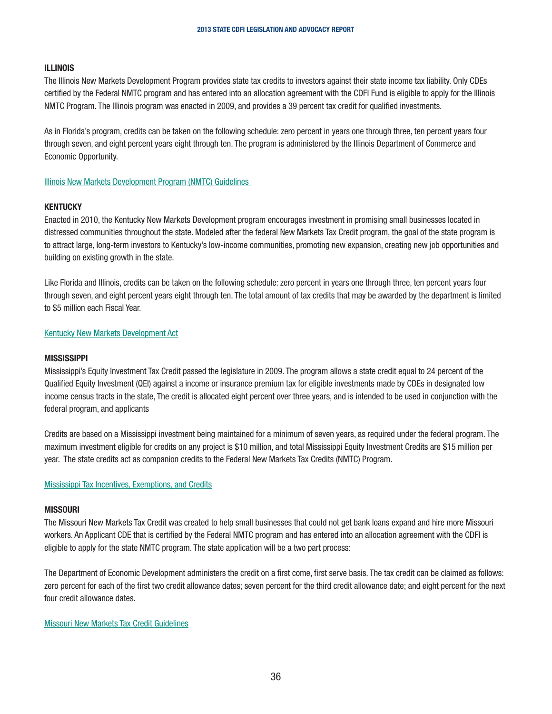#### ILLINOIS

The Illinois New Markets Development Program provides state tax credits to investors against their state income tax liability. Only CDEs certified by the Federal NMTC program and has entered into an allocation agreement with the CDFI Fund is eligible to apply for the Illinois NMTC Program. The Illinois program was enacted in 2009, and provides a 39 percent tax credit for qualified investments.

As in Florida's program, credits can be taken on the following schedule: zero percent in years one through three, ten percent years four through seven, and eight percent years eight through ten. The program is administered by the Illinois Department of Commerce and Economic Opportunity.

Illinois New Markets Development Program (NMTC) Guidelines

#### **KENTUCKY**

Enacted in 2010, the Kentucky New Markets Development program encourages investment in promising small businesses located in distressed communities throughout the state. Modeled after the federal New Markets Tax Credit program, the goal of the state program is to attract large, long-term investors to Kentucky's low-income communities, promoting new expansion, creating new job opportunities and building on existing growth in the state.

Like Florida and Illinois, credits can be taken on the following schedule: zero percent in years one through three, ten percent years four through seven, and eight percent years eight through ten. The total amount of tax credits that may be awarded by the department is limited to \$5 million each Fiscal Year.

#### Kentucky New Markets Development Act

#### **MISSISSIPPI**

Mississippi's Equity Investment Tax Credit passed the legislature in 2009. The program allows a state credit equal to 24 percent of the Qualified Equity Investment (QEI) against a income or insurance premium tax for eligible investments made by CDEs in designated low income census tracts in the state, The credit is allocated eight percent over three years, and is intended to be used in conjunction with the federal program, and applicants

Credits are based on a Mississippi investment being maintained for a minimum of seven years, as required under the federal program. The maximum investment eligible for credits on any project is \$10 million, and total Mississippi Equity Investment Credits are \$15 million per year. The state credits act as companion credits to the Federal New Markets Tax Credits (NMTC) Program.

#### Mississippi Tax Incentives, Exemptions, and Credits

#### MISSOURI

The Missouri New Markets Tax Credit was created to help small businesses that could not get bank loans expand and hire more Missouri workers. An Applicant CDE that is certified by the Federal NMTC program and has entered into an allocation agreement with the CDFI is eligible to apply for the state NMTC program. The state application will be a two part process:

The Department of Economic Development administers the credit on a first come, first serve basis. The tax credit can be claimed as follows: zero percent for each of the first two credit allowance dates; seven percent for the third credit allowance date; and eight percent for the next four credit allowance dates.

#### Missouri New Markets Tax Credit Guidelines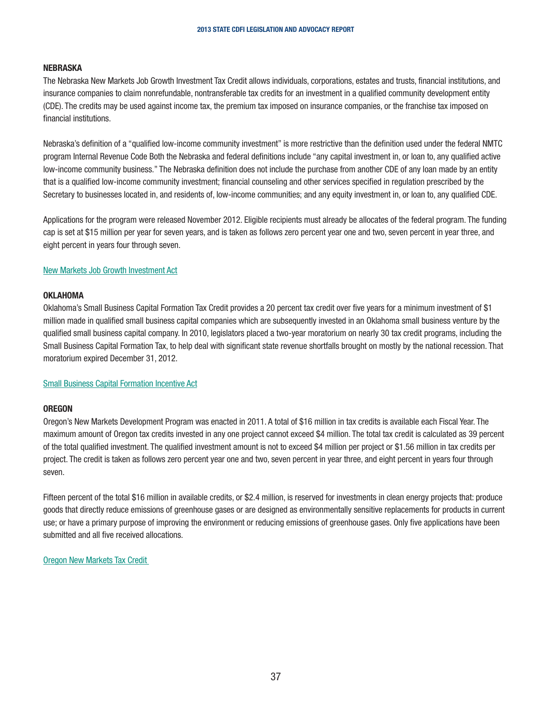#### NEBRASKA

The Nebraska New Markets Job Growth Investment Tax Credit allows individuals, corporations, estates and trusts, financial institutions, and insurance companies to claim nonrefundable, nontransferable tax credits for an investment in a qualified community development entity (CDE). The credits may be used against income tax, the premium tax imposed on insurance companies, or the franchise tax imposed on financial institutions.

Nebraska's definition of a "qualified low-income community investment" is more restrictive than the definition used under the federal NMTC program Internal Revenue Code Both the Nebraska and federal definitions include "any capital investment in, or loan to, any qualified active low-income community business." The Nebraska definition does not include the purchase from another CDE of any loan made by an entity that is a qualified low-income community investment; financial counseling and other services specified in regulation prescribed by the Secretary to businesses located in, and residents of, low-income communities; and any equity investment in, or loan to, any qualified CDE.

Applications for the program were released November 2012. Eligible recipients must already be allocates of the federal program. The funding cap is set at \$15 million per year for seven years, and is taken as follows zero percent year one and two, seven percent in year three, and eight percent in years four through seven.

#### New Markets Job Growth Investment Act

#### **OKLAHOMA**

Oklahoma's Small Business Capital Formation Tax Credit provides a 20 percent tax credit over five years for a minimum investment of \$1 million made in qualified small business capital companies which are subsequently invested in an Oklahoma small business venture by the qualified small business capital company. In 2010, legislators placed a two-year moratorium on nearly 30 tax credit programs, including the Small Business Capital Formation Tax, to help deal with significant state revenue shortfalls brought on mostly by the national recession. That moratorium expired December 31, 2012.

#### Small Business Capital Formation Incentive Act

#### **OREGON**

Oregon's New Markets Development Program was enacted in 2011. A total of \$16 million in tax credits is available each Fiscal Year. The maximum amount of Oregon tax credits invested in any one project cannot exceed \$4 million. The total tax credit is calculated as 39 percent of the total qualified investment. The qualified investment amount is not to exceed \$4 million per project or \$1.56 million in tax credits per project. The credit is taken as follows zero percent year one and two, seven percent in year three, and eight percent in years four through seven.

Fifteen percent of the total \$16 million in available credits, or \$2.4 million, is reserved for investments in clean energy projects that: produce goods that directly reduce emissions of greenhouse gases or are designed as environmentally sensitive replacements for products in current use; or have a primary purpose of improving the environment or reducing emissions of greenhouse gases. Only five applications have been submitted and all five received allocations.

Oregon New Markets Tax Credit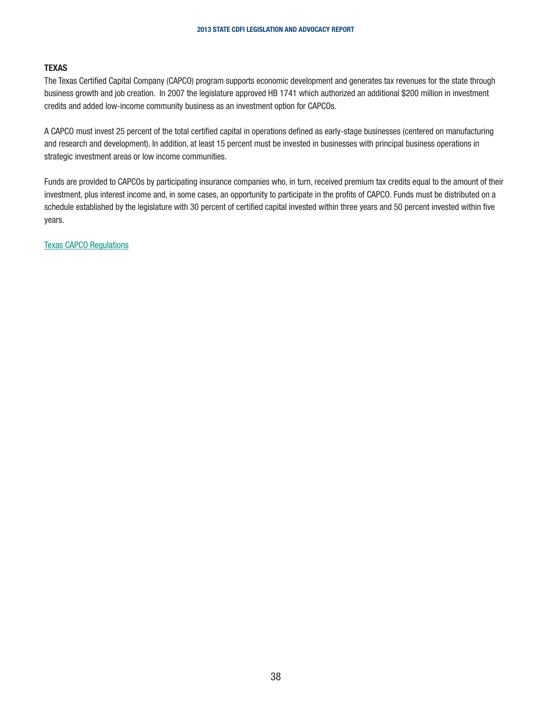#### TEXAS

The Texas Certified Capital Company (CAPCO) program supports economic development and generates tax revenues for the state through business growth and job creation. In 2007 the legislature approved HB 1741 which authorized an additional \$200 million in investment credits and added low-income community business as an investment option for CAPCOs.

A CAPCO must invest 25 percent of the total certified capital in operations defined as early-stage businesses (centered on manufacturing and research and development). In addition, at least 15 percent must be invested in businesses with principal business operations in strategic investment areas or low income communities.

Funds are provided to CAPCOs by participating insurance companies who, in turn, received premium tax credits equal to the amount of their investment, plus interest income and, in some cases, an opportunity to participate in the profits of CAPCO. Funds must be distributed on a schedule established by the legislature with 30 percent of certified capital invested within three years and 50 percent invested within five years.

Texas CAPCO Regulations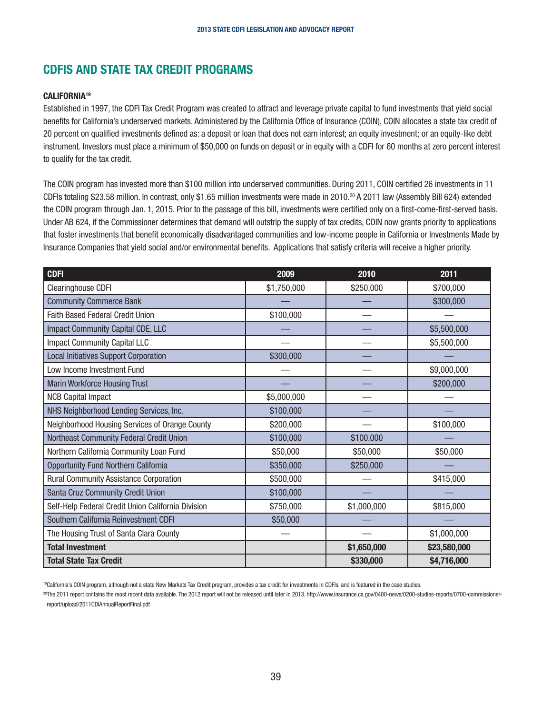## CDFIS AND STATE TAX CREDIT PROGRAMS

#### CALIFORNIA19

Established in 1997, the CDFI Tax Credit Program was created to attract and leverage private capital to fund investments that yield social benefits for California's underserved markets. Administered by the California Office of Insurance (COIN), COIN allocates a state tax credit of 20 percent on qualified investments defined as: a deposit or loan that does not earn interest; an equity investment; or an equity-like debt instrument. Investors must place a minimum of \$50,000 on funds on deposit or in equity with a CDFI for 60 months at zero percent interest to qualify for the tax credit.

The COIN program has invested more than \$100 million into underserved communities. During 2011, COIN certified 26 investments in 11 CDFIs totaling \$23.58 million. In contrast, only \$1.65 million investments were made in 2010.20 A 2011 law (Assembly Bill 624) extended the COIN program through Jan. 1, 2015. Prior to the passage of this bill, investments were certified only on a first-come-first-served basis. Under AB 624, if the Commissioner determines that demand will outstrip the supply of tax credits, COIN now grants priority to applications that foster investments that benefit economically disadvantaged communities and low-income people in California or Investments Made by Insurance Companies that yield social and/or environmental benefits. Applications that satisfy criteria will receive a higher priority.

| <b>CDFI</b>                                        | 2009        | 2010        | 2011         |
|----------------------------------------------------|-------------|-------------|--------------|
| Clearinghouse CDFI                                 | \$1,750,000 | \$250,000   | \$700,000    |
| <b>Community Commerce Bank</b>                     |             |             | \$300,000    |
| Faith Based Federal Credit Union                   | \$100,000   |             |              |
| Impact Community Capital CDE, LLC                  |             |             | \$5,500,000  |
| <b>Impact Community Capital LLC</b>                |             |             | \$5,500,000  |
| <b>Local Initiatives Support Corporation</b>       | \$300,000   |             |              |
| Low Income Investment Fund                         |             |             | \$9,000,000  |
| <b>Marin Workforce Housing Trust</b>               |             |             | \$200,000    |
| <b>NCB Capital Impact</b>                          | \$5,000,000 |             |              |
| NHS Neighborhood Lending Services, Inc.            | \$100,000   |             |              |
| Neighborhood Housing Services of Orange County     | \$200,000   |             | \$100,000    |
| Northeast Community Federal Credit Union           | \$100,000   | \$100,000   |              |
| Northern California Community Loan Fund            | \$50,000    | \$50,000    | \$50,000     |
| <b>Opportunity Fund Northern California</b>        | \$350,000   | \$250,000   |              |
| Rural Community Assistance Corporation             | \$500,000   |             | \$415,000    |
| Santa Cruz Community Credit Union                  | \$100,000   |             |              |
| Self-Help Federal Credit Union California Division | \$750,000   | \$1,000,000 | \$815,000    |
| Southern California Reinvestment CDFI              | \$50,000    |             |              |
| The Housing Trust of Santa Clara County            |             |             | \$1,000,000  |
| <b>Total Investment</b>                            |             | \$1,650,000 | \$23,580,000 |
| <b>Total State Tax Credit</b>                      |             | \$330,000   | \$4,716,000  |

19California's COIN program, although not a state New Markets Tax Credit program, provides a tax credit for investments in CDFIs, and is featured in the case studies.

20The 2011 report contains the most recent data available. The 2012 report will not be released until later in 2013. http://www.insurance.ca.gov/0400-news/0200-studies-reports/0700-commissionerreport/upload/2011CDIAnnualReportFinal.pdf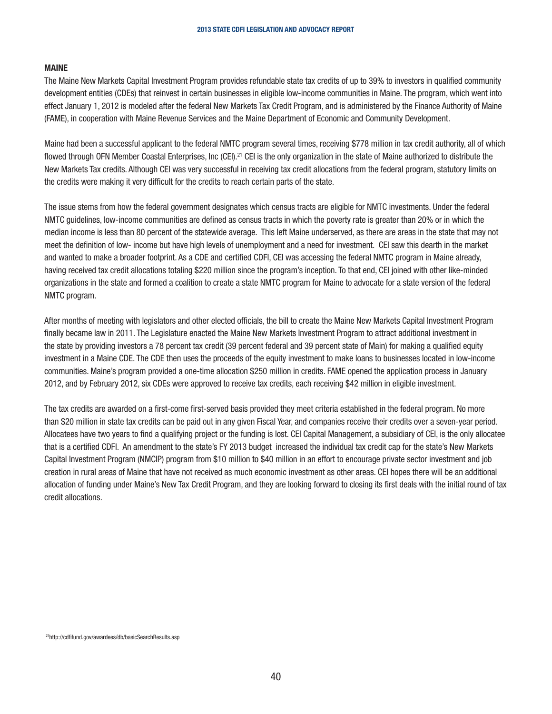#### MAINE

The Maine New Markets Capital Investment Program provides refundable state tax credits of up to 39% to investors in qualified community development entities (CDEs) that reinvest in certain businesses in eligible low-income communities in Maine. The program, which went into effect January 1, 2012 is modeled after the federal New Markets Tax Credit Program, and is administered by the Finance Authority of Maine (FAME), in cooperation with Maine Revenue Services and the Maine Department of Economic and Community Development.

Maine had been a successful applicant to the federal NMTC program several times, receiving \$778 million in tax credit authority, all of which flowed through OFN Member Coastal Enterprises, Inc (CEI).<sup>21</sup> CEI is the only organization in the state of Maine authorized to distribute the New Markets Tax credits. Although CEI was very successful in receiving tax credit allocations from the federal program, statutory limits on the credits were making it very difficult for the credits to reach certain parts of the state.

The issue stems from how the federal government designates which census tracts are eligible for NMTC investments. Under the federal NMTC guidelines, low-income communities are defined as census tracts in which the poverty rate is greater than 20% or in which the median income is less than 80 percent of the statewide average. This left Maine underserved, as there are areas in the state that may not meet the definition of low- income but have high levels of unemployment and a need for investment. CEI saw this dearth in the market and wanted to make a broader footprint. As a CDE and certified CDFI, CEI was accessing the federal NMTC program in Maine already, having received tax credit allocations totaling \$220 million since the program's inception. To that end, CEI joined with other like-minded organizations in the state and formed a coalition to create a state NMTC program for Maine to advocate for a state version of the federal NMTC program.

After months of meeting with legislators and other elected officials, the bill to create the Maine New Markets Capital Investment Program finally became law in 2011. The Legislature enacted the Maine New Markets Investment Program to attract additional investment in the state by providing investors a 78 percent tax credit (39 percent federal and 39 percent state of Main) for making a qualified equity investment in a Maine CDE. The CDE then uses the proceeds of the equity investment to make loans to businesses located in low-income communities. Maine's program provided a one-time allocation \$250 million in credits. FAME opened the application process in January 2012, and by February 2012, six CDEs were approved to receive tax credits, each receiving \$42 million in eligible investment.

The tax credits are awarded on a first-come first-served basis provided they meet criteria established in the federal program. No more than \$20 million in state tax credits can be paid out in any given Fiscal Year, and companies receive their credits over a seven-year period. Allocatees have two years to find a qualifying project or the funding is lost. CEI Capital Management, a subsidiary of CEI, is the only allocatee that is a certified CDFI. An amendment to the state's FY 2013 budget increased the individual tax credit cap for the state's New Markets Capital Investment Program (NMCIP) program from \$10 million to \$40 million in an effort to encourage private sector investment and job creation in rural areas of Maine that have not received as much economic investment as other areas. CEI hopes there will be an additional allocation of funding under Maine's New Tax Credit Program, and they are looking forward to closing its first deals with the initial round of tax credit allocations.

<sup>21</sup>http://cdfifund.gov/awardees/db/basicSearchResults.asp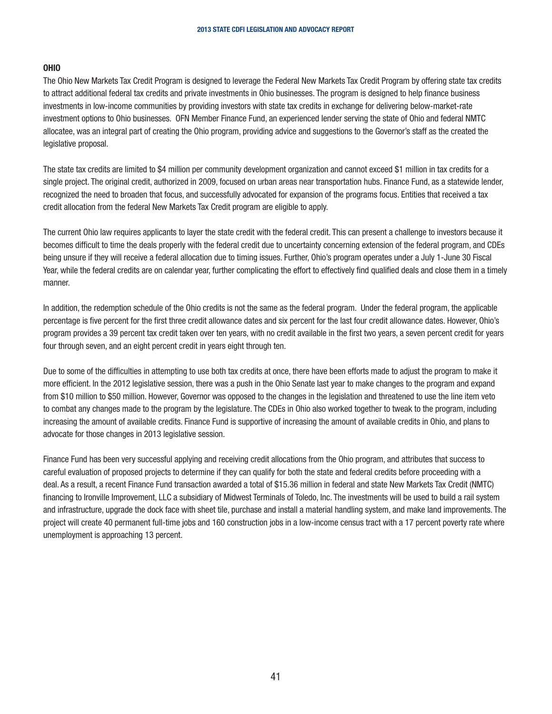#### OHIO

The Ohio New Markets Tax Credit Program is designed to leverage the Federal New Markets Tax Credit Program by offering state tax credits to attract additional federal tax credits and private investments in Ohio businesses. The program is designed to help finance business investments in low-income communities by providing investors with state tax credits in exchange for delivering below-market-rate investment options to Ohio businesses. OFN Member Finance Fund, an experienced lender serving the state of Ohio and federal NMTC allocatee, was an integral part of creating the Ohio program, providing advice and suggestions to the Governor's staff as the created the legislative proposal.

The state tax credits are limited to \$4 million per community development organization and cannot exceed \$1 million in tax credits for a single project. The original credit, authorized in 2009, focused on urban areas near transportation hubs. Finance Fund, as a statewide lender, recognized the need to broaden that focus, and successfully advocated for expansion of the programs focus. Entities that received a tax credit allocation from the federal New Markets Tax Credit program are eligible to apply.

The current Ohio law requires applicants to layer the state credit with the federal credit. This can present a challenge to investors because it becomes difficult to time the deals properly with the federal credit due to uncertainty concerning extension of the federal program, and CDEs being unsure if they will receive a federal allocation due to timing issues. Further, Ohio's program operates under a July 1-June 30 Fiscal Year, while the federal credits are on calendar year, further complicating the effort to effectively find qualified deals and close them in a timely manner.

In addition, the redemption schedule of the Ohio credits is not the same as the federal program. Under the federal program, the applicable percentage is five percent for the first three credit allowance dates and six percent for the last four credit allowance dates. However, Ohio's program provides a 39 percent tax credit taken over ten years, with no credit available in the first two years, a seven percent credit for years four through seven, and an eight percent credit in years eight through ten.

Due to some of the difficulties in attempting to use both tax credits at once, there have been efforts made to adjust the program to make it more efficient. In the 2012 legislative session, there was a push in the Ohio Senate last year to make changes to the program and expand from \$10 million to \$50 million. However, Governor was opposed to the changes in the legislation and threatened to use the line item veto to combat any changes made to the program by the legislature. The CDEs in Ohio also worked together to tweak to the program, including increasing the amount of available credits. Finance Fund is supportive of increasing the amount of available credits in Ohio, and plans to advocate for those changes in 2013 legislative session.

Finance Fund has been very successful applying and receiving credit allocations from the Ohio program, and attributes that success to careful evaluation of proposed projects to determine if they can qualify for both the state and federal credits before proceeding with a deal. As a result, a recent Finance Fund transaction awarded a total of \$15.36 million in federal and state New Markets Tax Credit (NMTC) financing to Ironville Improvement, LLC a subsidiary of Midwest Terminals of Toledo, Inc. The investments will be used to build a rail system and infrastructure, upgrade the dock face with sheet tile, purchase and install a material handling system, and make land improvements. The project will create 40 permanent full-time jobs and 160 construction jobs in a low-income census tract with a 17 percent poverty rate where unemployment is approaching 13 percent.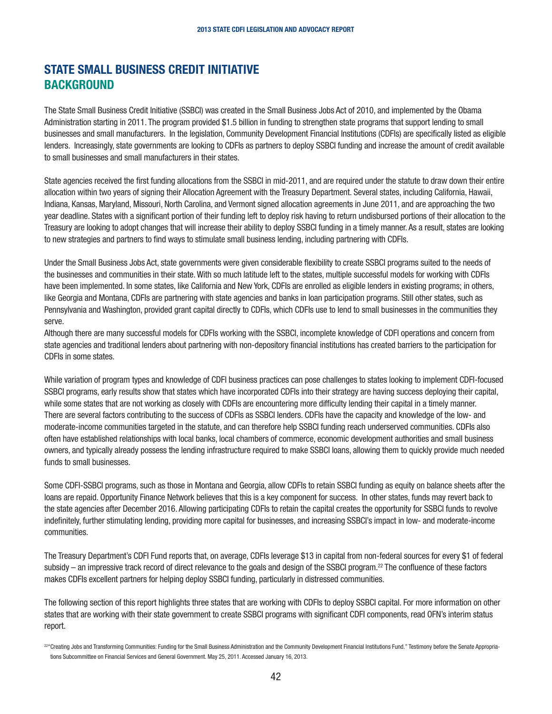## STATE SMALL BUSINESS CREDIT INITIATIVE **BACKGROUND**

The State Small Business Credit Initiative (SSBCI) was created in the Small Business Jobs Act of 2010, and implemented by the Obama Administration starting in 2011. The program provided \$1.5 billion in funding to strengthen state programs that support lending to small businesses and small manufacturers. In the legislation, Community Development Financial Institutions (CDFIs) are specifically listed as eligible lenders. Increasingly, state governments are looking to CDFIs as partners to deploy SSBCI funding and increase the amount of credit available to small businesses and small manufacturers in their states.

State agencies received the first funding allocations from the SSBCI in mid-2011, and are required under the statute to draw down their entire allocation within two years of signing their Allocation Agreement with the Treasury Department. Several states, including California, Hawaii, Indiana, Kansas, Maryland, Missouri, North Carolina, and Vermont signed allocation agreements in June 2011, and are approaching the two year deadline. States with a significant portion of their funding left to deploy risk having to return undisbursed portions of their allocation to the Treasury are looking to adopt changes that will increase their ability to deploy SSBCI funding in a timely manner. As a result, states are looking to new strategies and partners to find ways to stimulate small business lending, including partnering with CDFIs.

Under the Small Business Jobs Act, state governments were given considerable flexibility to create SSBCI programs suited to the needs of the businesses and communities in their state. With so much latitude left to the states, multiple successful models for working with CDFIs have been implemented. In some states, like California and New York, CDFIs are enrolled as eligible lenders in existing programs; in others, like Georgia and Montana, CDFIs are partnering with state agencies and banks in loan participation programs. Still other states, such as Pennsylvania and Washington, provided grant capital directly to CDFIs, which CDFIs use to lend to small businesses in the communities they serve.

Although there are many successful models for CDFIs working with the SSBCI, incomplete knowledge of CDFI operations and concern from state agencies and traditional lenders about partnering with non-depository financial institutions has created barriers to the participation for CDFIs in some states.

While variation of program types and knowledge of CDFI business practices can pose challenges to states looking to implement CDFI-focused SSBCI programs, early results show that states which have incorporated CDFIs into their strategy are having success deploying their capital, while some states that are not working as closely with CDFIs are encountering more difficulty lending their capital in a timely manner. There are several factors contributing to the success of CDFIs as SSBCI lenders. CDFIs have the capacity and knowledge of the low- and moderate-income communities targeted in the statute, and can therefore help SSBCI funding reach underserved communities. CDFIs also often have established relationships with local banks, local chambers of commerce, economic development authorities and small business owners, and typically already possess the lending infrastructure required to make SSBCI loans, allowing them to quickly provide much needed funds to small businesses.

Some CDFI-SSBCI programs, such as those in Montana and Georgia, allow CDFIs to retain SSBCI funding as equity on balance sheets after the loans are repaid. Opportunity Finance Network believes that this is a key component for success. In other states, funds may revert back to the state agencies after December 2016. Allowing participating CDFIs to retain the capital creates the opportunity for SSBCI funds to revolve indefinitely, further stimulating lending, providing more capital for businesses, and increasing SSBCI's impact in low- and moderate-income communities.

The Treasury Department's CDFI Fund reports that, on average, CDFIs leverage \$13 in capital from non-federal sources for every \$1 of federal subsidy – an impressive track record of direct relevance to the goals and design of the SSBCI program.<sup>22</sup> The confluence of these factors makes CDFIs excellent partners for helping deploy SSBCI funding, particularly in distressed communities.

The following section of this report highlights three states that are working with CDFIs to deploy SSBCI capital. For more information on other states that are working with their state government to create SSBCI programs with significant CDFI components, read OFN's interim status report.

<sup>&</sup>lt;sup>22"</sup>Creating Jobs and Transforming Communities: Funding for the Small Business Administration and the Community Development Financial Institutions Fund." Testimony before the Senate Appropriations Subcommittee on Financial Services and General Government. May 25, 2011. Accessed January 16, 2013.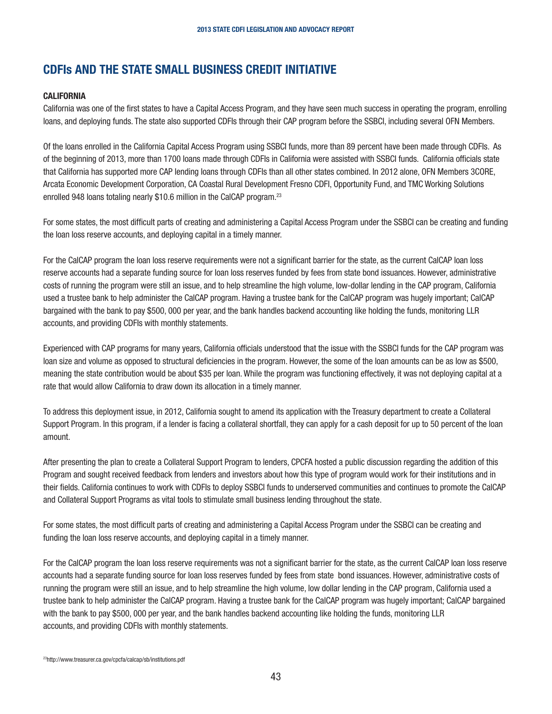## <span id="page-42-0"></span>CDFIs AND THE STATE SMALL BUSINESS CREDIT INITIATIVE

#### **CALIFORNIA**

California was one of the first states to have a Capital Access Program, and they have seen much success in operating the program, enrolling loans, and deploying funds. The state also supported CDFIs through their CAP program before the SSBCI, including several OFN Members.

Of the loans enrolled in the California Capital Access Program using SSBCI funds, more than 89 percent have been made through CDFIs. As of the beginning of 2013, more than 1700 loans made through CDFIs in California were assisted with SSBCI funds. California officials state that California has supported more CAP lending loans through CDFIs than all other states combined. In 2012 alone, OFN Members 3CORE, Arcata Economic Development Corporation, CA Coastal Rural Development Fresno CDFI, Opportunity Fund, and TMC Working Solutions enrolled 948 loans totaling nearly \$10.6 million in the CalCAP program.23

For some states, the most difficult parts of creating and administering a Capital Access Program under the SSBCI can be creating and funding the loan loss reserve accounts, and deploying capital in a timely manner.

For the CalCAP program the loan loss reserve requirements were not a significant barrier for the state, as the current CalCAP loan loss reserve accounts had a separate funding source for loan loss reserves funded by fees from state bond issuances. However, administrative costs of running the program were still an issue, and to help streamline the high volume, low-dollar lending in the CAP program, California used a trustee bank to help administer the CalCAP program. Having a trustee bank for the CalCAP program was hugely important; CalCAP bargained with the bank to pay \$500, 000 per year, and the bank handles backend accounting like holding the funds, monitoring LLR accounts, and providing CDFIs with monthly statements.

Experienced with CAP programs for many years, California officials understood that the issue with the SSBCI funds for the CAP program was loan size and volume as opposed to structural deficiencies in the program. However, the some of the loan amounts can be as low as \$500, meaning the state contribution would be about \$35 per loan. While the program was functioning effectively, it was not deploying capital at a rate that would allow California to draw down its allocation in a timely manner.

To address this deployment issue, in 2012, California sought to amend its application with the Treasury department to create a Collateral Support Program. In this program, if a lender is facing a collateral shortfall, they can apply for a cash deposit for up to 50 percent of the loan amount.

After presenting the plan to create a Collateral Support Program to lenders, CPCFA hosted a public discussion regarding the addition of this Program and sought received feedback from lenders and investors about how this type of program would work for their institutions and in their fields. California continues to work with CDFIs to deploy SSBCI funds to underserved communities and continues to promote the CalCAP and Collateral Support Programs as vital tools to stimulate small business lending throughout the state.

For some states, the most difficult parts of creating and administering a Capital Access Program under the SSBCI can be creating and funding the loan loss reserve accounts, and deploying capital in a timely manner.

For the CalCAP program the loan loss reserve requirements was not a significant barrier for the state, as the current CalCAP loan loss reserve accounts had a separate funding source for loan loss reserves funded by fees from state bond issuances. However, administrative costs of running the program were still an issue, and to help streamline the high volume, low dollar lending in the CAP program, California used a trustee bank to help administer the CalCAP program. Having a trustee bank for the CalCAP program was hugely important; CalCAP bargained with the bank to pay \$500, 000 per year, and the bank handles backend accounting like holding the funds, monitoring LLR accounts, and providing CDFIs with monthly statements.

23http://www.treasurer.ca.gov/cpcfa/calcap/sb/institutions.pdf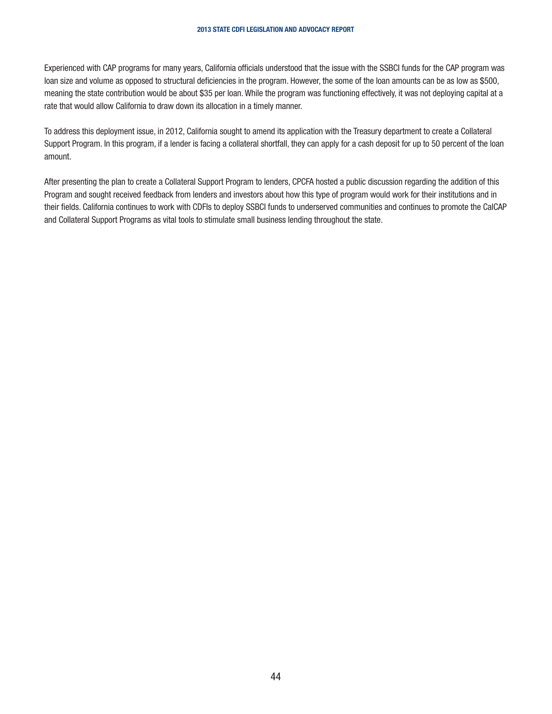<span id="page-43-0"></span>Experienced with CAP programs for many years, California officials understood that the issue with the SSBCI funds for the CAP program was loan size and volume as opposed to structural deficiencies in the program. However, the some of the loan amounts can be as low as \$500, meaning the state contribution would be about \$35 per loan. While the program was functioning effectively, it was not deploying capital at a rate that would allow California to draw down its allocation in a timely manner.

To address this deployment issue, in 2012, California sought to amend its application with the Treasury department to create a Collateral Support Program. In this program, if a lender is facing a collateral shortfall, they can apply for a cash deposit for up to 50 percent of the loan amount.

After presenting the plan to create a Collateral Support Program to lenders, CPCFA hosted a public discussion regarding the addition of this Program and sought received feedback from lenders and investors about how this type of program would work for their institutions and in their fields. California continues to work with CDFIs to deploy SSBCI funds to underserved communities and continues to promote the CalCAP and Collateral Support Programs as vital tools to stimulate small business lending throughout the state.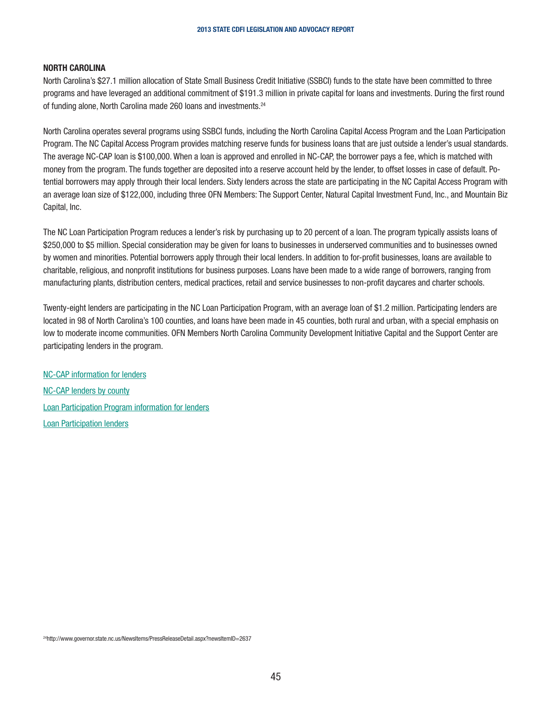#### NORTH CAROLINA

North Carolina's \$27.1 million allocation of State Small Business Credit Initiative (SSBCI) funds to the state have been committed to three programs and have leveraged an additional commitment of \$191.3 million in private capital for loans and investments. During the first round of funding alone, North Carolina made 260 loans and investments.24

North Carolina operates several programs using SSBCI funds, including the North Carolina Capital Access Program and the Loan Participation Program. The NC Capital Access Program provides matching reserve funds for business loans that are just outside a lender's usual standards. The average NC-CAP loan is \$100,000. When a loan is approved and enrolled in NC-CAP, the borrower pays a fee, which is matched with money from the program. The funds together are deposited into a reserve account held by the lender, to offset losses in case of default. Potential borrowers may apply through their local lenders. Sixty lenders across the state are participating in the NC Capital Access Program with an average loan size of \$122,000, including three OFN Members: The Support Center, Natural Capital Investment Fund, Inc., and Mountain Biz Capital, Inc.

The NC Loan Participation Program reduces a lender's risk by purchasing up to 20 percent of a loan. The program typically assists loans of \$250,000 to \$5 million. Special consideration may be given for loans to businesses in underserved communities and to businesses owned by women and minorities. Potential borrowers apply through their local lenders. In addition to for-profit businesses, loans are available to charitable, religious, and nonprofit institutions for business purposes. Loans have been made to a wide range of borrowers, ranging from manufacturing plants, distribution centers, medical practices, retail and service businesses to non-profit daycares and charter schools.

Twenty-eight lenders are participating in the NC Loan Participation Program, with an average loan of \$1.2 million. Participating lenders are located in 98 of North Carolina's 100 counties, and loans have been made in 45 counties, both rural and urban, with a special emphasis on low to moderate income communities. OFN Members North Carolina Community Development Initiative Capital and the Support Center are participating lenders in the program.

NC-CAP information for lenders NC-CAP lenders by county Loan Participation Program information for lenders Loan Participation lenders

<sup>24</sup>http://www.governor.state.nc.us/NewsItems/PressReleaseDetail.aspx?newsItemID=2637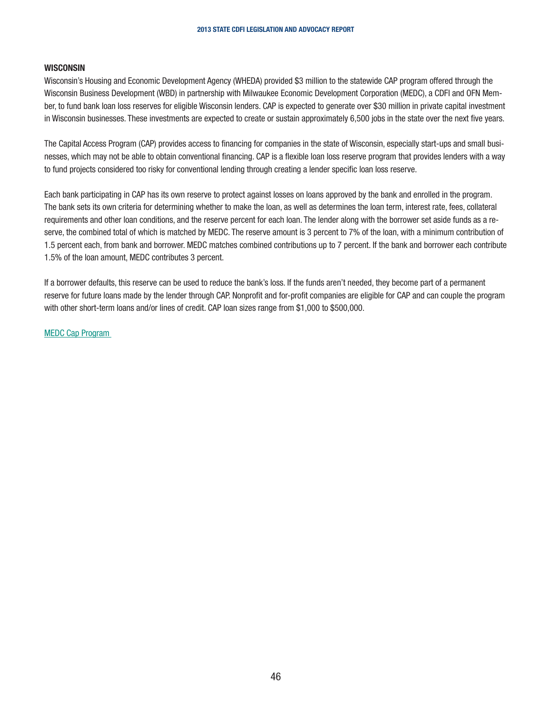#### **WISCONSIN**

Wisconsin's Housing and Economic Development Agency (WHEDA) provided \$3 million to the statewide CAP program offered through the Wisconsin Business Development (WBD) in partnership with Milwaukee Economic Development Corporation (MEDC), a CDFI and OFN Member, to fund bank loan loss reserves for eligible Wisconsin lenders. CAP is expected to generate over \$30 million in private capital investment in Wisconsin businesses. These investments are expected to create or sustain approximately 6,500 jobs in the state over the next five years.

The Capital Access Program (CAP) provides access to financing for companies in the state of Wisconsin, especially start-ups and small businesses, which may not be able to obtain conventional financing. CAP is a flexible loan loss reserve program that provides lenders with a way to fund projects considered too risky for conventional lending through creating a lender specific loan loss reserve.

Each bank participating in CAP has its own reserve to protect against losses on loans approved by the bank and enrolled in the program. The bank sets its own criteria for determining whether to make the loan, as well as determines the loan term, interest rate, fees, collateral requirements and other loan conditions, and the reserve percent for each loan. The lender along with the borrower set aside funds as a reserve, the combined total of which is matched by MEDC. The reserve amount is 3 percent to 7% of the loan, with a minimum contribution of 1.5 percent each, from bank and borrower. MEDC matches combined contributions up to 7 percent. If the bank and borrower each contribute 1.5% of the loan amount, MEDC contributes 3 percent.

If a borrower defaults, this reserve can be used to reduce the bank's loss. If the funds aren't needed, they become part of a permanent reserve for future loans made by the lender through CAP. Nonprofit and for-profit companies are eligible for CAP and can couple the program with other short-term loans and/or lines of credit. CAP loan sizes range from \$1,000 to \$500,000.

MEDC Cap Program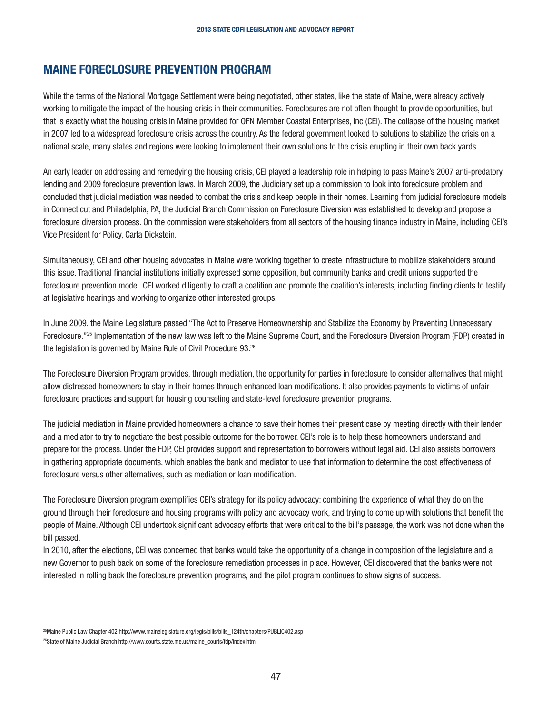## MAINE FORECLOSURE PREVENTION PROGRAM

While the terms of the National Mortgage Settlement were being negotiated, other states, like the state of Maine, were already actively working to mitigate the impact of the housing crisis in their communities. Foreclosures are not often thought to provide opportunities, but that is exactly what the housing crisis in Maine provided for OFN Member Coastal Enterprises, Inc (CEI). The collapse of the housing market in 2007 led to a widespread foreclosure crisis across the country. As the federal government looked to solutions to stabilize the crisis on a national scale, many states and regions were looking to implement their own solutions to the crisis erupting in their own back yards.

An early leader on addressing and remedying the housing crisis, CEI played a leadership role in helping to pass Maine's 2007 anti-predatory lending and 2009 foreclosure prevention laws. In March 2009, the Judiciary set up a commission to look into foreclosure problem and concluded that judicial mediation was needed to combat the crisis and keep people in their homes. Learning from judicial foreclosure models in Connecticut and Philadelphia, PA, the Judicial Branch Commission on Foreclosure Diversion was established to develop and propose a foreclosure diversion process. On the commission were stakeholders from all sectors of the housing finance industry in Maine, including CEI's Vice President for Policy, Carla Dickstein.

Simultaneously, CEI and other housing advocates in Maine were working together to create infrastructure to mobilize stakeholders around this issue. Traditional financial institutions initially expressed some opposition, but community banks and credit unions supported the foreclosure prevention model. CEI worked diligently to craft a coalition and promote the coalition's interests, including finding clients to testify at legislative hearings and working to organize other interested groups.

In June 2009, the Maine Legislature passed "The Act to Preserve Homeownership and Stabilize the Economy by Preventing Unnecessary Foreclosure."25 Implementation of the new law was left to the Maine Supreme Court, and the Foreclosure Diversion Program (FDP) created in the legislation is governed by Maine Rule of Civil Procedure 93.<sup>26</sup>

The Foreclosure Diversion Program provides, through mediation, the opportunity for parties in foreclosure to consider alternatives that might allow distressed homeowners to stay in their homes through enhanced loan modifications. It also provides payments to victims of unfair foreclosure practices and support for housing counseling and state-level foreclosure prevention programs.

The judicial mediation in Maine provided homeowners a chance to save their homes their present case by meeting directly with their lender and a mediator to try to negotiate the best possible outcome for the borrower. CEI's role is to help these homeowners understand and prepare for the process. Under the FDP, CEI provides support and representation to borrowers without legal aid. CEI also assists borrowers in gathering appropriate documents, which enables the bank and mediator to use that information to determine the cost effectiveness of foreclosure versus other alternatives, such as mediation or loan modification.

The Foreclosure Diversion program exemplifies CEI's strategy for its policy advocacy: combining the experience of what they do on the ground through their foreclosure and housing programs with policy and advocacy work, and trying to come up with solutions that benefit the people of Maine. Although CEI undertook significant advocacy efforts that were critical to the bill's passage, the work was not done when the bill passed.

In 2010, after the elections, CEI was concerned that banks would take the opportunity of a change in composition of the legislature and a new Governor to push back on some of the foreclosure remediation processes in place. However, CEI discovered that the banks were not interested in rolling back the foreclosure prevention programs, and the pilot program continues to show signs of success.

<sup>&</sup>lt;sup>25</sup>Maine Public Law Chapter 402 http://www.mainelegislature.org/legis/bills/bills\_124th/chapters/PUBLIC402.asp

<sup>26</sup>State of Maine Judicial Branch http://www.courts.state.me.us/maine\_courts/fdp/index.html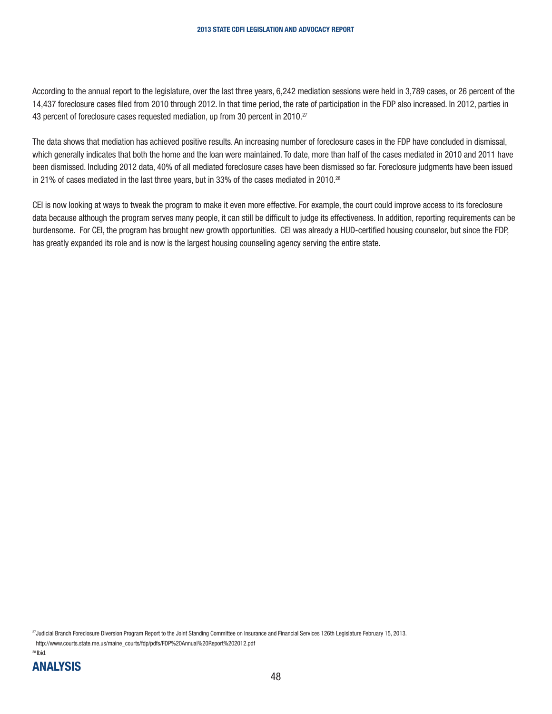<span id="page-47-0"></span>According to the annual report to the legislature, over the last three years, 6,242 mediation sessions were held in 3,789 cases, or 26 percent of the 14,437 foreclosure cases filed from 2010 through 2012. In that time period, the rate of participation in the FDP also increased. In 2012, parties in 43 percent of foreclosure cases requested mediation, up from 30 percent in 2010.<sup>27</sup>

The data shows that mediation has achieved positive results. An increasing number of foreclosure cases in the FDP have concluded in dismissal, which generally indicates that both the home and the loan were maintained. To date, more than half of the cases mediated in 2010 and 2011 have been dismissed. Including 2012 data, 40% of all mediated foreclosure cases have been dismissed so far. Foreclosure judgments have been issued in 21% of cases mediated in the last three years, but in 33% of the cases mediated in 2010.<sup>28</sup>

CEI is now looking at ways to tweak the program to make it even more effective. For example, the court could improve access to its foreclosure data because although the program serves many people, it can still be difficult to judge its effectiveness. In addition, reporting requirements can be burdensome. For CEI, the program has brought new growth opportunities. CEI was already a HUD-certified housing counselor, but since the FDP, has greatly expanded its role and is now is the largest housing counseling agency serving the entire state.

27Judicial Branch Foreclosure Diversion Program Report to the Joint Standing Committee on Insurance and Financial Services 126th Legislature February 15, 2013. http://www.courts.state.me.us/maine\_courts/fdp/pdfs/FDP%20Annual%20Report%202012.pdf

 $28$  Ibid.

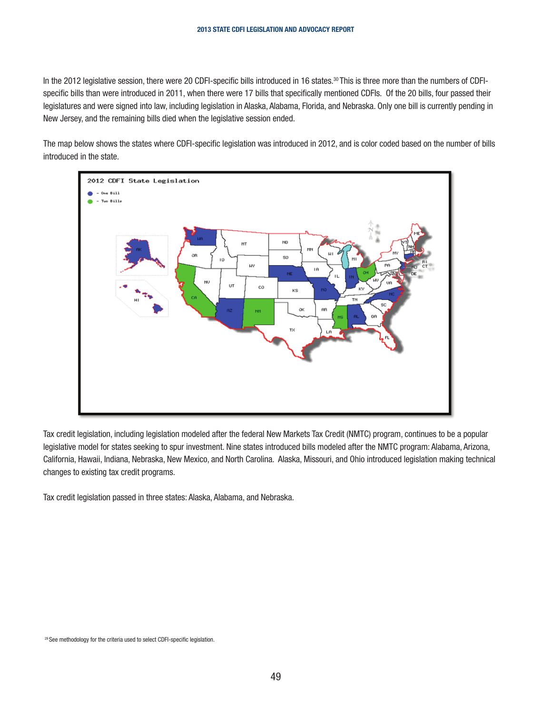In the 2012 legislative session, there were 20 CDFI-specific bills introduced in 16 states.<sup>30</sup> This is three more than the numbers of CDFIspecific bills than were introduced in 2011, when there were 17 bills that specifically mentioned CDFIs. Of the 20 bills, four passed their legislatures and were signed into law, including legislation in Alaska, Alabama, Florida, and Nebraska. Only one bill is currently pending in New Jersey, and the remaining bills died when the legislative session ended.

The map below shows the states where CDFI-specific legislation was introduced in 2012, and is color coded based on the number of bills introduced in the state.



Tax credit legislation, including legislation modeled after the federal New Markets Tax Credit (NMTC) program, continues to be a popular legislative model for states seeking to spur investment. Nine states introduced bills modeled after the NMTC program: Alabama, Arizona, California, Hawaii, Indiana, Nebraska, New Mexico, and North Carolina. Alaska, Missouri, and Ohio introduced legislation making technical changes to existing tax credit programs.

Tax credit legislation passed in three states: Alaska, Alabama, and Nebraska.

29 See methodology for the criteria used to select CDFI-specific legislation.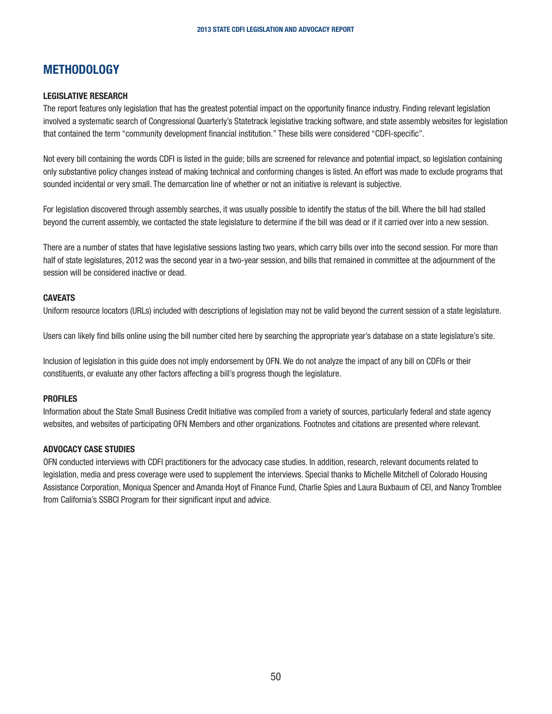## **METHODOLOGY**

#### LEGISLATIVE RESEARCH

The report features only legislation that has the greatest potential impact on the opportunity finance industry. Finding relevant legislation involved a systematic search of Congressional Quarterly's Statetrack legislative tracking software, and state assembly websites for legislation that contained the term "community development financial institution." These bills were considered "CDFI-specific".

Not every bill containing the words CDFI is listed in the guide; bills are screened for relevance and potential impact, so legislation containing only substantive policy changes instead of making technical and conforming changes is listed. An effort was made to exclude programs that sounded incidental or very small. The demarcation line of whether or not an initiative is relevant is subjective.

For legislation discovered through assembly searches, it was usually possible to identify the status of the bill. Where the bill had stalled beyond the current assembly, we contacted the state legislature to determine if the bill was dead or if it carried over into a new session.

There are a number of states that have legislative sessions lasting two years, which carry bills over into the second session. For more than half of state legislatures, 2012 was the second year in a two-year session, and bills that remained in committee at the adjournment of the session will be considered inactive or dead.

#### **CAVEATS**

Uniform resource locators (URLs) included with descriptions of legislation may not be valid beyond the current session of a state legislature.

Users can likely find bills online using the bill number cited here by searching the appropriate year's database on a state legislature's site.

Inclusion of legislation in this guide does not imply endorsement by OFN. We do not analyze the impact of any bill on CDFIs or their constituents, or evaluate any other factors affecting a bill's progress though the legislature.

#### PROFILES

Information about the State Small Business Credit Initiative was compiled from a variety of sources, particularly federal and state agency websites, and websites of participating OFN Members and other organizations. Footnotes and citations are presented where relevant.

#### ADVOCACY CASE STUDIES

OFN conducted interviews with CDFI practitioners for the advocacy case studies. In addition, research, relevant documents related to legislation, media and press coverage were used to supplement the interviews. Special thanks to Michelle Mitchell of Colorado Housing Assistance Corporation, Moniqua Spencer and Amanda Hoyt of Finance Fund, Charlie Spies and Laura Buxbaum of CEI, and Nancy Tromblee from California's SSBCI Program for their significant input and advice.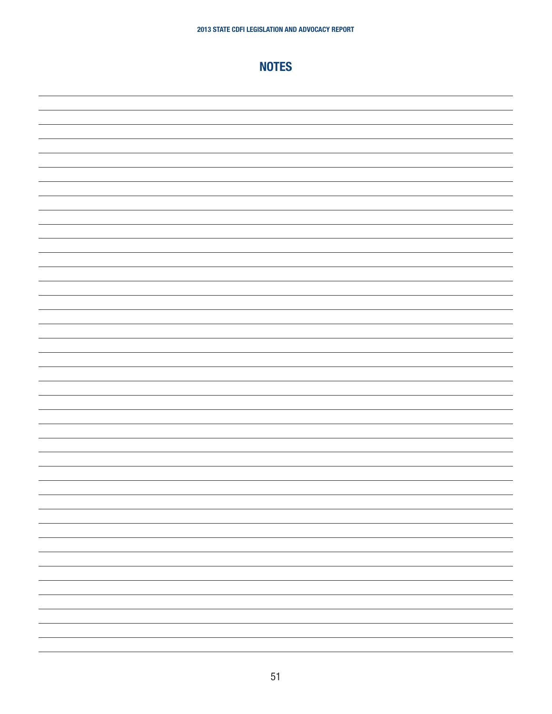## NOTES

<span id="page-50-0"></span>